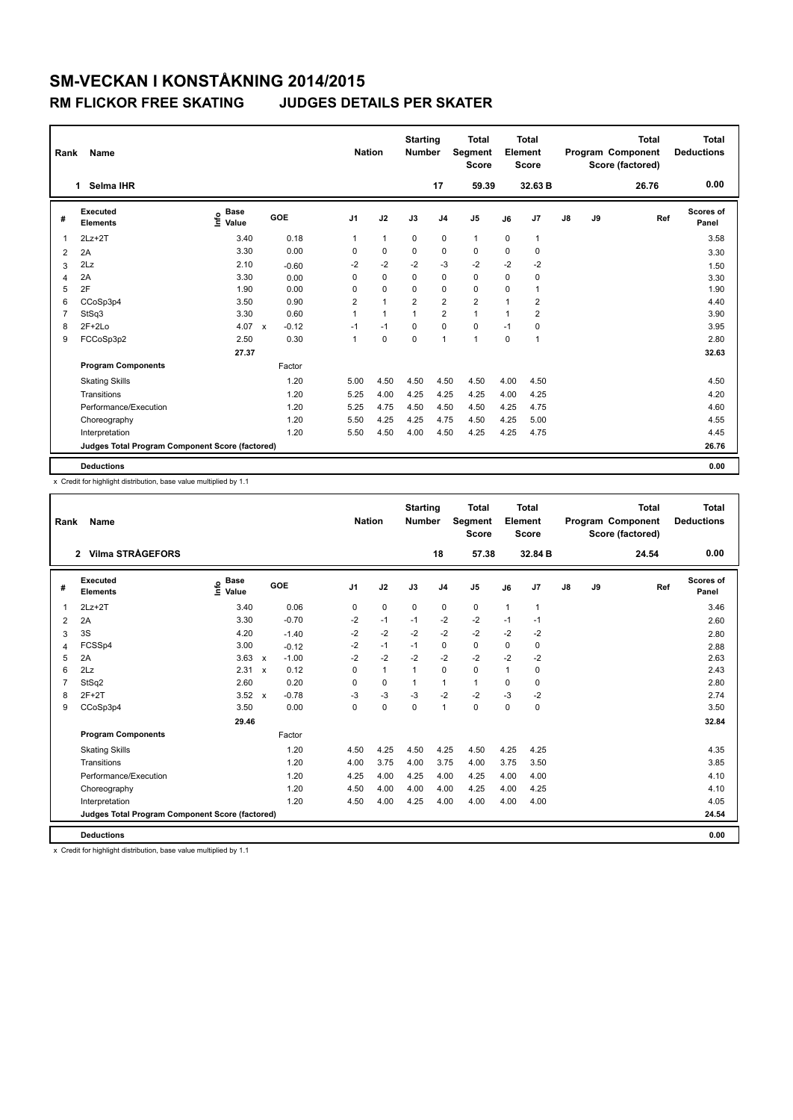| Rank | Name                                            |                              |                         | <b>Nation</b>  |                | <b>Starting</b><br><b>Number</b> |                | <b>Total</b><br><b>Segment</b><br><b>Score</b> |              | <b>Total</b><br>Element<br><b>Score</b> |    |    | <b>Total</b><br>Program Component<br>Score (factored) | <b>Total</b><br><b>Deductions</b> |
|------|-------------------------------------------------|------------------------------|-------------------------|----------------|----------------|----------------------------------|----------------|------------------------------------------------|--------------|-----------------------------------------|----|----|-------------------------------------------------------|-----------------------------------|
|      | Selma IHR<br>1.                                 |                              |                         |                |                |                                  | 17             | 59.39                                          |              | 32.63 B                                 |    |    | 26.76                                                 | 0.00                              |
| #    | Executed<br><b>Elements</b>                     | <b>Base</b><br>lnfo<br>Value | GOE                     | J <sub>1</sub> | J2             | J3                               | J <sub>4</sub> | J5                                             | J6           | J7                                      | J8 | J9 | Ref                                                   | Scores of<br>Panel                |
| 1    | $2Lz+2T$                                        | 3.40                         | 0.18                    | 1              | $\mathbf{1}$   | 0                                | 0              | $\mathbf{1}$                                   | 0            | 1                                       |    |    |                                                       | 3.58                              |
| 2    | 2A                                              | 3.30                         | 0.00                    | $\Omega$       | 0              | $\Omega$                         | 0              | 0                                              | $\Omega$     | 0                                       |    |    |                                                       | 3.30                              |
| 3    | 2Lz                                             | 2.10                         | $-0.60$                 | $-2$           | $-2$           | $-2$                             | -3             | $-2$                                           | $-2$         | $-2$                                    |    |    |                                                       | 1.50                              |
| 4    | 2A                                              | 3.30                         | 0.00                    | 0              | $\mathbf 0$    | 0                                | $\mathbf 0$    | $\mathbf 0$                                    | 0            | 0                                       |    |    |                                                       | 3.30                              |
| 5    | 2F                                              | 1.90                         | 0.00                    | 0              | $\mathbf 0$    | $\Omega$                         | $\mathbf 0$    | $\mathbf 0$                                    | 0            | 1                                       |    |    |                                                       | 1.90                              |
| 6    | CCoSp3p4                                        | 3.50                         | 0.90                    | 2              | $\overline{1}$ | $\overline{2}$                   | $\overline{2}$ | $\overline{\mathbf{c}}$                        | 1            | 2                                       |    |    |                                                       | 4.40                              |
| 7    | StSq3                                           | 3.30                         | 0.60                    | 1              | $\overline{1}$ | 1                                | $\overline{2}$ | $\mathbf{1}$                                   | $\mathbf{1}$ | $\overline{2}$                          |    |    |                                                       | 3.90                              |
| 8    | $2F+2Lo$                                        | 4.07                         | $-0.12$<br>$\mathsf{x}$ | $-1$           | $-1$           | $\Omega$                         | $\mathbf 0$    | $\mathbf 0$                                    | $-1$         | 0                                       |    |    |                                                       | 3.95                              |
| 9    | FCCoSp3p2                                       | 2.50                         | 0.30                    | $\mathbf{1}$   | 0              | $\Omega$                         | 1              | 1                                              | $\Omega$     | 1                                       |    |    |                                                       | 2.80                              |
|      |                                                 | 27.37                        |                         |                |                |                                  |                |                                                |              |                                         |    |    |                                                       | 32.63                             |
|      | <b>Program Components</b>                       |                              | Factor                  |                |                |                                  |                |                                                |              |                                         |    |    |                                                       |                                   |
|      | <b>Skating Skills</b>                           |                              | 1.20                    | 5.00           | 4.50           | 4.50                             | 4.50           | 4.50                                           | 4.00         | 4.50                                    |    |    |                                                       | 4.50                              |
|      | Transitions                                     |                              | 1.20                    | 5.25           | 4.00           | 4.25                             | 4.25           | 4.25                                           | 4.00         | 4.25                                    |    |    |                                                       | 4.20                              |
|      | Performance/Execution                           |                              | 1.20                    | 5.25           | 4.75           | 4.50                             | 4.50           | 4.50                                           | 4.25         | 4.75                                    |    |    |                                                       | 4.60                              |
|      | Choreography                                    |                              | 1.20                    | 5.50           | 4.25           | 4.25                             | 4.75           | 4.50                                           | 4.25         | 5.00                                    |    |    |                                                       | 4.55                              |
|      | Interpretation                                  |                              | 1.20                    | 5.50           | 4.50           | 4.00                             | 4.50           | 4.25                                           | 4.25         | 4.75                                    |    |    |                                                       | 4.45                              |
|      | Judges Total Program Component Score (factored) |                              |                         |                |                |                                  |                |                                                |              |                                         |    |    |                                                       | 26.76                             |
|      | <b>Deductions</b>                               |                              |                         |                |                |                                  |                |                                                |              |                                         |    |    |                                                       | 0.00                              |

x Credit for highlight distribution, base value multiplied by 1.1

| Rank           | Name                                            |                                  |                         | <b>Nation</b>  |              | <b>Starting</b><br><b>Number</b> |                | <b>Total</b><br>Segment<br><b>Score</b> |      | Total<br>Element<br><b>Score</b> |               |    | <b>Total</b><br>Program Component<br>Score (factored) | <b>Total</b><br><b>Deductions</b> |
|----------------|-------------------------------------------------|----------------------------------|-------------------------|----------------|--------------|----------------------------------|----------------|-----------------------------------------|------|----------------------------------|---------------|----|-------------------------------------------------------|-----------------------------------|
|                | 2 Vilma STRÅGEFORS                              |                                  |                         |                |              |                                  | 18             | 57.38                                   |      | 32.84 B                          |               |    | 24.54                                                 | 0.00                              |
| #              | <b>Executed</b><br>Elements                     | <b>Base</b><br>e Base<br>⊆ Value | GOE                     | J <sub>1</sub> | J2           | J3                               | J <sub>4</sub> | J <sub>5</sub>                          | J6   | J7                               | $\mathsf{J}8$ | J9 | Ref                                                   | Scores of<br>Panel                |
| 1              | $2Lz + 2T$                                      | 3.40                             | 0.06                    | 0              | $\mathbf 0$  | $\mathbf 0$                      | 0              | $\mathbf 0$                             | 1    | $\overline{1}$                   |               |    |                                                       | 3.46                              |
| $\overline{2}$ | 2A                                              | 3.30                             | $-0.70$                 | $-2$           | $-1$         | $-1$                             | $-2$           | $-2$                                    | $-1$ | $-1$                             |               |    |                                                       | 2.60                              |
| 3              | 3S                                              | 4.20                             | $-1.40$                 | $-2$           | $-2$         | $-2$                             | $-2$           | $-2$                                    | $-2$ | $-2$                             |               |    |                                                       | 2.80                              |
| 4              | FCSSp4                                          | 3.00                             | $-0.12$                 | $-2$           | $-1$         | $-1$                             | 0              | $\Omega$                                | 0    | $\mathbf 0$                      |               |    |                                                       | 2.88                              |
| 5              | 2A                                              | 3.63                             | $-1.00$<br>$\mathbf{x}$ | $-2$           | $-2$         | $-2$                             | $-2$           | $-2$                                    | $-2$ | $-2$                             |               |    |                                                       | 2.63                              |
| 6              | 2Lz                                             | 2.31                             | 0.12<br>$\mathsf{x}$    | $\Omega$       | $\mathbf{1}$ | $\mathbf{1}$                     | 0              | $\mathbf 0$                             | 1    | 0                                |               |    |                                                       | 2.43                              |
| $\overline{7}$ | StSq2                                           | 2.60                             | 0.20                    | $\Omega$       | $\mathbf 0$  | 1                                | $\mathbf{1}$   | $\mathbf{1}$                            | 0    | $\mathbf 0$                      |               |    |                                                       | 2.80                              |
| 8              | $2F+2T$                                         | 3.52                             | $-0.78$<br>$\mathbf{x}$ | -3             | $-3$         | $-3$                             | $-2$           | $-2$                                    | $-3$ | $-2$                             |               |    |                                                       | 2.74                              |
| 9              | CCoSp3p4                                        | 3.50                             | 0.00                    | 0              | $\mathbf 0$  | $\mathbf 0$                      | $\mathbf{1}$   | $\mathbf 0$                             | 0    | 0                                |               |    |                                                       | 3.50                              |
|                |                                                 | 29.46                            |                         |                |              |                                  |                |                                         |      |                                  |               |    |                                                       | 32.84                             |
|                | <b>Program Components</b>                       |                                  | Factor                  |                |              |                                  |                |                                         |      |                                  |               |    |                                                       |                                   |
|                | <b>Skating Skills</b>                           |                                  | 1.20                    | 4.50           | 4.25         | 4.50                             | 4.25           | 4.50                                    | 4.25 | 4.25                             |               |    |                                                       | 4.35                              |
|                | Transitions                                     |                                  | 1.20                    | 4.00           | 3.75         | 4.00                             | 3.75           | 4.00                                    | 3.75 | 3.50                             |               |    |                                                       | 3.85                              |
|                | Performance/Execution                           |                                  | 1.20                    | 4.25           | 4.00         | 4.25                             | 4.00           | 4.25                                    | 4.00 | 4.00                             |               |    |                                                       | 4.10                              |
|                | Choreography                                    |                                  | 1.20                    | 4.50           | 4.00         | 4.00                             | 4.00           | 4.25                                    | 4.00 | 4.25                             |               |    |                                                       | 4.10                              |
|                | Interpretation                                  |                                  | 1.20                    | 4.50           | 4.00         | 4.25                             | 4.00           | 4.00                                    | 4.00 | 4.00                             |               |    |                                                       | 4.05                              |
|                | Judges Total Program Component Score (factored) |                                  |                         |                |              |                                  |                |                                         |      |                                  |               |    |                                                       | 24.54                             |
|                | <b>Deductions</b>                               |                                  |                         |                |              |                                  |                |                                         |      |                                  |               |    |                                                       | 0.00                              |

x Credit for highlight distribution, base value multiplied by 1.1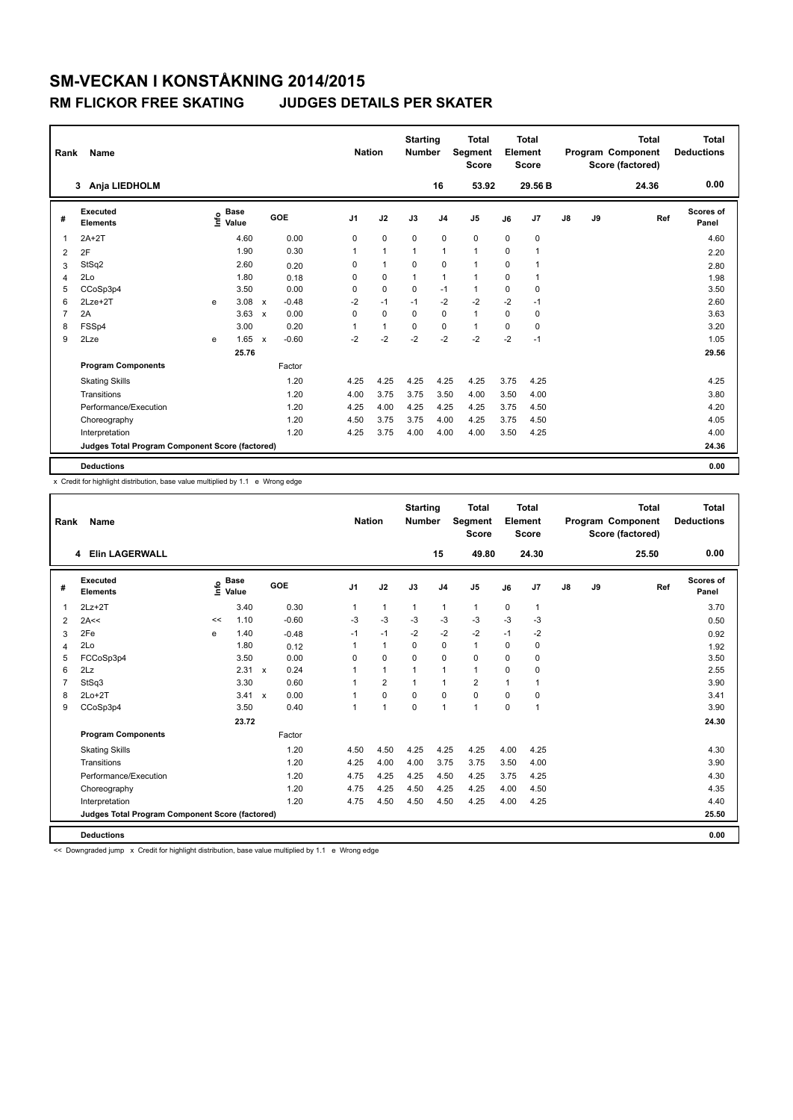| Rank           | Name                                            |      |                      |                           |         | <b>Nation</b>  |              | <b>Starting</b><br><b>Number</b> |                | <b>Total</b><br>Segment<br><b>Score</b> |          | Total<br>Element<br><b>Score</b> |               |    | <b>Total</b><br>Program Component<br>Score (factored) | <b>Total</b><br><b>Deductions</b> |
|----------------|-------------------------------------------------|------|----------------------|---------------------------|---------|----------------|--------------|----------------------------------|----------------|-----------------------------------------|----------|----------------------------------|---------------|----|-------------------------------------------------------|-----------------------------------|
|                | Anja LIEDHOLM<br>3                              |      |                      |                           |         |                |              |                                  | 16             | 53.92                                   |          | 29.56 B                          |               |    | 24.36                                                 | 0.00                              |
| #              | Executed<br><b>Elements</b>                     | lnfo | <b>Base</b><br>Value |                           | GOE     | J <sub>1</sub> | J2           | J3                               | J <sub>4</sub> | J5                                      | J6       | J7                               | $\mathsf{J}8$ | J9 | Ref                                                   | <b>Scores of</b><br>Panel         |
| $\mathbf 1$    | $2A+2T$                                         |      | 4.60                 |                           | 0.00    | 0              | $\mathbf 0$  | $\mathbf 0$                      | $\mathbf 0$    | $\mathbf 0$                             | 0        | 0                                |               |    |                                                       | 4.60                              |
| 2              | 2F                                              |      | 1.90                 |                           | 0.30    | 1              | $\mathbf{1}$ | $\overline{1}$                   | $\overline{1}$ | $\mathbf{1}$                            | $\Omega$ | 1                                |               |    |                                                       | 2.20                              |
| 3              | StSq2                                           |      | 2.60                 |                           | 0.20    | 0              | $\mathbf{1}$ | $\Omega$                         | 0              | $\mathbf{1}$                            | $\Omega$ | 1                                |               |    |                                                       | 2.80                              |
| $\overline{4}$ | 2Lo                                             |      | 1.80                 |                           | 0.18    | 0              | $\mathbf 0$  | $\mathbf{1}$                     | $\mathbf{1}$   | $\mathbf{1}$                            | $\Omega$ | 1                                |               |    |                                                       | 1.98                              |
| 5              | CCoSp3p4                                        |      | 3.50                 |                           | 0.00    | 0              | $\mathbf 0$  | $\Omega$                         | $-1$           | $\mathbf{1}$                            | $\Omega$ | $\Omega$                         |               |    |                                                       | 3.50                              |
| 6              | $2Lze+2T$                                       | e    | 3.08                 | $\mathsf{x}$              | $-0.48$ | $-2$           | $-1$         | $-1$                             | $-2$           | $-2$                                    | $-2$     | $-1$                             |               |    |                                                       | 2.60                              |
| $\overline{7}$ | 2A                                              |      | 3.63                 | $\mathbf x$               | 0.00    | 0              | $\mathbf 0$  | $\Omega$                         | 0              | $\mathbf{1}$                            | $\Omega$ | 0                                |               |    |                                                       | 3.63                              |
| 8              | FSSp4                                           |      | 3.00                 |                           | 0.20    | 1              | $\mathbf{1}$ | $\Omega$                         | 0              | $\mathbf{1}$                            | $\Omega$ | $\Omega$                         |               |    |                                                       | 3.20                              |
| 9              | 2Lze                                            | e    | 1.65                 | $\boldsymbol{\mathsf{x}}$ | $-0.60$ | $-2$           | $-2$         | $-2$                             | $-2$           | $-2$                                    | $-2$     | $-1$                             |               |    |                                                       | 1.05                              |
|                |                                                 |      | 25.76                |                           |         |                |              |                                  |                |                                         |          |                                  |               |    |                                                       | 29.56                             |
|                | <b>Program Components</b>                       |      |                      |                           | Factor  |                |              |                                  |                |                                         |          |                                  |               |    |                                                       |                                   |
|                | <b>Skating Skills</b>                           |      |                      |                           | 1.20    | 4.25           | 4.25         | 4.25                             | 4.25           | 4.25                                    | 3.75     | 4.25                             |               |    |                                                       | 4.25                              |
|                | Transitions                                     |      |                      |                           | 1.20    | 4.00           | 3.75         | 3.75                             | 3.50           | 4.00                                    | 3.50     | 4.00                             |               |    |                                                       | 3.80                              |
|                | Performance/Execution                           |      |                      |                           | 1.20    | 4.25           | 4.00         | 4.25                             | 4.25           | 4.25                                    | 3.75     | 4.50                             |               |    |                                                       | 4.20                              |
|                | Choreography                                    |      |                      |                           | 1.20    | 4.50           | 3.75         | 3.75                             | 4.00           | 4.25                                    | 3.75     | 4.50                             |               |    |                                                       | 4.05                              |
|                | Interpretation                                  |      |                      |                           | 1.20    | 4.25           | 3.75         | 4.00                             | 4.00           | 4.00                                    | 3.50     | 4.25                             |               |    |                                                       | 4.00                              |
|                | Judges Total Program Component Score (factored) |      |                      |                           |         |                |              |                                  |                |                                         |          |                                  |               |    |                                                       | 24.36                             |
|                | <b>Deductions</b>                               |      |                      |                           |         |                |              |                                  |                |                                         |          |                                  |               |    |                                                       | 0.00                              |

x Credit for highlight distribution, base value multiplied by 1.1 e Wrong edge

| Rank           | Name                                            |    |                                  |              |         | <b>Nation</b>  |                | <b>Starting</b><br><b>Number</b> |                | <b>Total</b><br>Segment<br><b>Score</b> |             | <b>Total</b><br>Element<br><b>Score</b> |    |    | <b>Total</b><br>Program Component<br>Score (factored) | <b>Total</b><br><b>Deductions</b> |
|----------------|-------------------------------------------------|----|----------------------------------|--------------|---------|----------------|----------------|----------------------------------|----------------|-----------------------------------------|-------------|-----------------------------------------|----|----|-------------------------------------------------------|-----------------------------------|
|                | <b>Elin LAGERWALL</b><br>4                      |    |                                  |              |         |                |                |                                  | 15             | 49.80                                   |             | 24.30                                   |    |    | 25.50                                                 | 0.00                              |
| #              | Executed<br><b>Elements</b>                     |    | <b>Base</b><br>e Base<br>⊆ Value | GOE          |         | J <sub>1</sub> | J2             | J3                               | J <sub>4</sub> | J <sub>5</sub>                          | J6          | J7                                      | J8 | J9 | Ref                                                   | Scores of<br>Panel                |
| $\mathbf{1}$   | $2Lz+2T$                                        |    | 3.40                             |              | 0.30    | 1              | $\mathbf{1}$   | $\mathbf{1}$                     | $\mathbf{1}$   | $\mathbf{1}$                            | 0           | $\overline{1}$                          |    |    |                                                       | 3.70                              |
| 2              | 2A<<                                            | << | 1.10                             |              | $-0.60$ | $-3$           | -3             | $-3$                             | $-3$           | $-3$                                    | $-3$        | $-3$                                    |    |    |                                                       | 0.50                              |
| 3              | 2Fe                                             | e  | 1.40                             |              | $-0.48$ | $-1$           | $-1$           | $-2$                             | $-2$           | $-2$                                    | $-1$        | $-2$                                    |    |    |                                                       | 0.92                              |
| $\overline{4}$ | 2Lo                                             |    | 1.80                             |              | 0.12    | 1              | $\mathbf{1}$   | $\Omega$                         | $\mathbf 0$    | $\mathbf{1}$                            | $\Omega$    | 0                                       |    |    |                                                       | 1.92                              |
| 5              | FCCoSp3p4                                       |    | 3.50                             |              | 0.00    | $\Omega$       | $\mathbf 0$    | $\Omega$                         | $\Omega$       | 0                                       | $\Omega$    | $\mathbf 0$                             |    |    |                                                       | 3.50                              |
| 6              | 2Lz                                             |    | 2.31                             | $\mathsf{x}$ | 0.24    | $\overline{1}$ | $\mathbf{1}$   | $\mathbf{1}$                     | $\mathbf{1}$   | $\mathbf{1}$                            | $\Omega$    | 0                                       |    |    |                                                       | 2.55                              |
| $\overline{7}$ | StSq3                                           |    | 3.30                             |              | 0.60    | 1              | $\overline{2}$ | $\mathbf{1}$                     | $\mathbf{1}$   | $\overline{2}$                          | $\mathbf 1$ | $\overline{1}$                          |    |    |                                                       | 3.90                              |
| 8              | $2Lo+2T$                                        |    | 3.41                             | $\mathsf{x}$ | 0.00    | $\overline{1}$ | $\Omega$       | 0                                | $\mathbf 0$    | 0                                       | 0           | 0                                       |    |    |                                                       | 3.41                              |
| 9              | CCoSp3p4                                        |    | 3.50                             |              | 0.40    | 1              | 1              | $\Omega$                         | $\overline{1}$ | $\mathbf{1}$                            | $\mathbf 0$ | $\overline{1}$                          |    |    |                                                       | 3.90                              |
|                |                                                 |    | 23.72                            |              |         |                |                |                                  |                |                                         |             |                                         |    |    |                                                       | 24.30                             |
|                | <b>Program Components</b>                       |    |                                  |              | Factor  |                |                |                                  |                |                                         |             |                                         |    |    |                                                       |                                   |
|                | <b>Skating Skills</b>                           |    |                                  |              | 1.20    | 4.50           | 4.50           | 4.25                             | 4.25           | 4.25                                    | 4.00        | 4.25                                    |    |    |                                                       | 4.30                              |
|                | Transitions                                     |    |                                  |              | 1.20    | 4.25           | 4.00           | 4.00                             | 3.75           | 3.75                                    | 3.50        | 4.00                                    |    |    |                                                       | 3.90                              |
|                | Performance/Execution                           |    |                                  |              | 1.20    | 4.75           | 4.25           | 4.25                             | 4.50           | 4.25                                    | 3.75        | 4.25                                    |    |    |                                                       | 4.30                              |
|                | Choreography                                    |    |                                  |              | 1.20    | 4.75           | 4.25           | 4.50                             | 4.25           | 4.25                                    | 4.00        | 4.50                                    |    |    |                                                       | 4.35                              |
|                | Interpretation                                  |    |                                  |              | 1.20    | 4.75           | 4.50           | 4.50                             | 4.50           | 4.25                                    | 4.00        | 4.25                                    |    |    |                                                       | 4.40                              |
|                | Judges Total Program Component Score (factored) |    |                                  |              |         |                |                |                                  |                |                                         |             |                                         |    |    |                                                       | 25.50                             |
|                | <b>Deductions</b>                               |    |                                  |              |         |                |                |                                  |                |                                         |             |                                         |    |    |                                                       | 0.00                              |

<< Downgraded jump x Credit for highlight distribution, base value multiplied by 1.1 e Wrong edge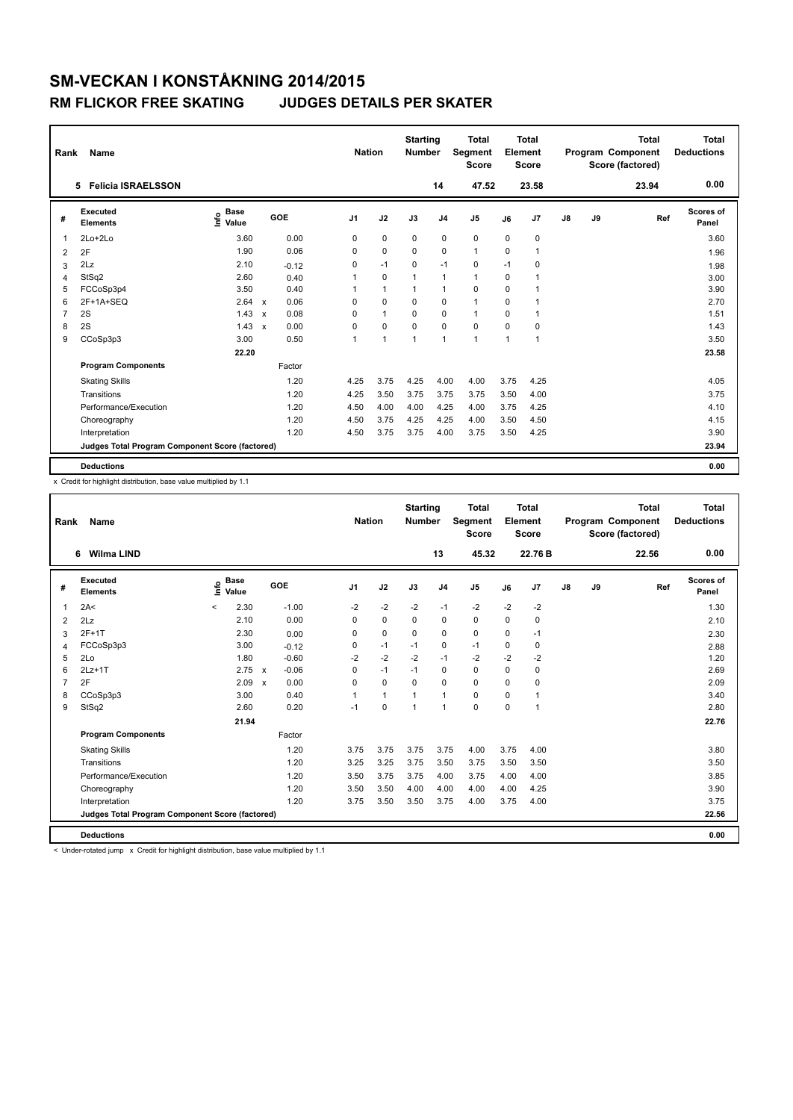| Rank           | Name                                            |                              |                           |         |                | <b>Nation</b>  | <b>Starting</b><br><b>Number</b> |                | <b>Total</b><br>Segment<br><b>Score</b> |              | <b>Total</b><br>Element<br><b>Score</b> |               |    | <b>Total</b><br>Program Component<br>Score (factored) | <b>Total</b><br><b>Deductions</b> |
|----------------|-------------------------------------------------|------------------------------|---------------------------|---------|----------------|----------------|----------------------------------|----------------|-----------------------------------------|--------------|-----------------------------------------|---------------|----|-------------------------------------------------------|-----------------------------------|
|                | 5 Felicia ISRAELSSON                            |                              |                           |         |                |                |                                  | 14             | 47.52                                   |              | 23.58                                   |               |    | 23.94                                                 | 0.00                              |
| #              | Executed<br><b>Elements</b>                     | <b>Base</b><br>١nf٥<br>Value |                           | GOE     | J <sub>1</sub> | J2             | J3                               | J <sub>4</sub> | J5                                      | J6           | J7                                      | $\mathsf{J}8$ | J9 | Ref                                                   | Scores of<br>Panel                |
| 1              | $2Lo+2Lo$                                       | 3.60                         |                           | 0.00    | 0              | $\mathbf 0$    | $\mathbf 0$                      | $\pmb{0}$      | $\pmb{0}$                               | 0            | 0                                       |               |    |                                                       | 3.60                              |
| 2              | 2F                                              | 1.90                         |                           | 0.06    | 0              | 0              | $\Omega$                         | 0              | $\mathbf{1}$                            | 0            | 1                                       |               |    |                                                       | 1.96                              |
| 3              | 2Lz                                             | 2.10                         |                           | $-0.12$ | 0              | $-1$           | $\Omega$                         | $-1$           | 0                                       | $-1$         | $\Omega$                                |               |    |                                                       | 1.98                              |
| 4              | StSq2                                           | 2.60                         |                           | 0.40    |                | $\mathbf 0$    | 1                                | $\overline{1}$ | $\mathbf{1}$                            | 0            |                                         |               |    |                                                       | 3.00                              |
| 5              | FCCoSp3p4                                       | 3.50                         |                           | 0.40    |                | $\overline{1}$ | 1                                | $\overline{1}$ | 0                                       | 0            | 1                                       |               |    |                                                       | 3.90                              |
| 6              | 2F+1A+SEQ                                       | 2.64                         | $\boldsymbol{\mathsf{x}}$ | 0.06    | 0              | 0              | $\Omega$                         | 0              | $\mathbf{1}$                            | $\Omega$     | 1                                       |               |    |                                                       | 2.70                              |
| $\overline{7}$ | 2S                                              | 1.43                         | $\boldsymbol{\mathsf{x}}$ | 0.08    | $\Omega$       | $\mathbf{1}$   | 0                                | 0              | $\mathbf{1}$                            | 0            | 1                                       |               |    |                                                       | 1.51                              |
| 8              | 2S                                              | 1.43                         | $\boldsymbol{\mathsf{x}}$ | 0.00    | 0              | $\mathbf 0$    | $\Omega$                         | 0              | $\mathbf 0$                             | 0            | 0                                       |               |    |                                                       | 1.43                              |
| 9              | CCoSp3p3                                        | 3.00                         |                           | 0.50    | 1              | $\overline{1}$ | 1                                | $\overline{1}$ | $\overline{1}$                          | $\mathbf{1}$ | 1                                       |               |    |                                                       | 3.50                              |
|                |                                                 | 22.20                        |                           |         |                |                |                                  |                |                                         |              |                                         |               |    |                                                       | 23.58                             |
|                | <b>Program Components</b>                       |                              |                           | Factor  |                |                |                                  |                |                                         |              |                                         |               |    |                                                       |                                   |
|                | <b>Skating Skills</b>                           |                              |                           | 1.20    | 4.25           | 3.75           | 4.25                             | 4.00           | 4.00                                    | 3.75         | 4.25                                    |               |    |                                                       | 4.05                              |
|                | Transitions                                     |                              |                           | 1.20    | 4.25           | 3.50           | 3.75                             | 3.75           | 3.75                                    | 3.50         | 4.00                                    |               |    |                                                       | 3.75                              |
|                | Performance/Execution                           |                              |                           | 1.20    | 4.50           | 4.00           | 4.00                             | 4.25           | 4.00                                    | 3.75         | 4.25                                    |               |    |                                                       | 4.10                              |
|                | Choreography                                    |                              |                           | 1.20    | 4.50           | 3.75           | 4.25                             | 4.25           | 4.00                                    | 3.50         | 4.50                                    |               |    |                                                       | 4.15                              |
|                | Interpretation                                  |                              |                           | 1.20    | 4.50           | 3.75           | 3.75                             | 4.00           | 3.75                                    | 3.50         | 4.25                                    |               |    |                                                       | 3.90                              |
|                | Judges Total Program Component Score (factored) |                              |                           |         |                |                |                                  |                |                                         |              |                                         |               |    |                                                       | 23.94                             |
|                | <b>Deductions</b>                               |                              |                           |         |                |                |                                  |                |                                         |              |                                         |               |    |                                                       | 0.00                              |

x Credit for highlight distribution, base value multiplied by 1.1

| Rank           | Name                                            |                              |                                   | <b>Nation</b>  |              | <b>Starting</b><br><b>Number</b> |                | <b>Total</b><br>Segment<br><b>Score</b> |      | Total<br>Element<br><b>Score</b> |               |    | <b>Total</b><br>Program Component<br>Score (factored) | Total<br><b>Deductions</b> |
|----------------|-------------------------------------------------|------------------------------|-----------------------------------|----------------|--------------|----------------------------------|----------------|-----------------------------------------|------|----------------------------------|---------------|----|-------------------------------------------------------|----------------------------|
|                | 6 Wilma LIND                                    |                              |                                   |                |              |                                  | 13             | 45.32                                   |      | 22.76 B                          |               |    | 22.56                                                 | 0.00                       |
| #              | Executed<br><b>Elements</b>                     | <b>Base</b><br>١nf٥<br>Value | GOE                               | J <sub>1</sub> | J2           | J3                               | J <sub>4</sub> | J <sub>5</sub>                          | J6   | J7                               | $\mathsf{J}8$ | J9 | Ref                                                   | <b>Scores of</b><br>Panel  |
| 1              | 2A<                                             | 2.30<br>$\prec$              | $-1.00$                           | $-2$           | $-2$         | $-2$                             | $-1$           | $-2$                                    | $-2$ | $-2$                             |               |    |                                                       | 1.30                       |
| $\overline{2}$ | 2Lz                                             | 2.10                         | 0.00                              | 0              | $\mathbf 0$  | 0                                | 0              | $\mathbf 0$                             | 0    | 0                                |               |    |                                                       | 2.10                       |
| 3              | $2F+1T$                                         | 2.30                         | 0.00                              | 0              | $\mathbf 0$  | $\mathbf 0$                      | 0              | $\mathbf 0$                             | 0    | $-1$                             |               |    |                                                       | 2.30                       |
| 4              | FCCoSp3p3                                       | 3.00                         | $-0.12$                           | 0              | $-1$         | $-1$                             | 0              | $-1$                                    | 0    | 0                                |               |    |                                                       | 2.88                       |
| 5              | 2Lo                                             | 1.80                         | $-0.60$                           | $-2$           | $-2$         | $-2$                             | $-1$           | $-2$                                    | $-2$ | $-2$                             |               |    |                                                       | 1.20                       |
| 6              | $2Lz+1T$                                        | 2.75                         | $-0.06$<br>$\mathbf{x}$           | $\Omega$       | $-1$         | $-1$                             | 0              | $\Omega$                                | 0    | 0                                |               |    |                                                       | 2.69                       |
| $\overline{7}$ | 2F                                              | 2.09                         | 0.00<br>$\boldsymbol{\mathsf{x}}$ | $\Omega$       | $\Omega$     | $\Omega$                         | $\Omega$       | $\Omega$                                | 0    | $\Omega$                         |               |    |                                                       | 2.09                       |
| 8              | CCoSp3p3                                        | 3.00                         | 0.40                              | 1              | $\mathbf{1}$ | 1                                | $\mathbf{1}$   | $\mathbf 0$                             | 0    | 1                                |               |    |                                                       | 3.40                       |
| 9              | StSq2                                           | 2.60                         | 0.20                              | $-1$           | $\mathbf 0$  | $\overline{1}$                   | $\mathbf{1}$   | $\mathbf 0$                             | 0    | 1                                |               |    |                                                       | 2.80                       |
|                |                                                 | 21.94                        |                                   |                |              |                                  |                |                                         |      |                                  |               |    |                                                       | 22.76                      |
|                | <b>Program Components</b>                       |                              | Factor                            |                |              |                                  |                |                                         |      |                                  |               |    |                                                       |                            |
|                | <b>Skating Skills</b>                           |                              | 1.20                              | 3.75           | 3.75         | 3.75                             | 3.75           | 4.00                                    | 3.75 | 4.00                             |               |    |                                                       | 3.80                       |
|                | Transitions                                     |                              | 1.20                              | 3.25           | 3.25         | 3.75                             | 3.50           | 3.75                                    | 3.50 | 3.50                             |               |    |                                                       | 3.50                       |
|                | Performance/Execution                           |                              | 1.20                              | 3.50           | 3.75         | 3.75                             | 4.00           | 3.75                                    | 4.00 | 4.00                             |               |    |                                                       | 3.85                       |
|                | Choreography                                    |                              | 1.20                              | 3.50           | 3.50         | 4.00                             | 4.00           | 4.00                                    | 4.00 | 4.25                             |               |    |                                                       | 3.90                       |
|                | Interpretation                                  |                              | 1.20                              | 3.75           | 3.50         | 3.50                             | 3.75           | 4.00                                    | 3.75 | 4.00                             |               |    |                                                       | 3.75                       |
|                | Judges Total Program Component Score (factored) |                              |                                   |                |              |                                  |                |                                         |      |                                  |               |    |                                                       | 22.56                      |
|                | <b>Deductions</b>                               |                              |                                   |                |              |                                  |                |                                         |      |                                  |               |    |                                                       | 0.00                       |

 $<$  Under-rotated jump  $\times$  Credit for highlight distribution, base value multiplied by 1.1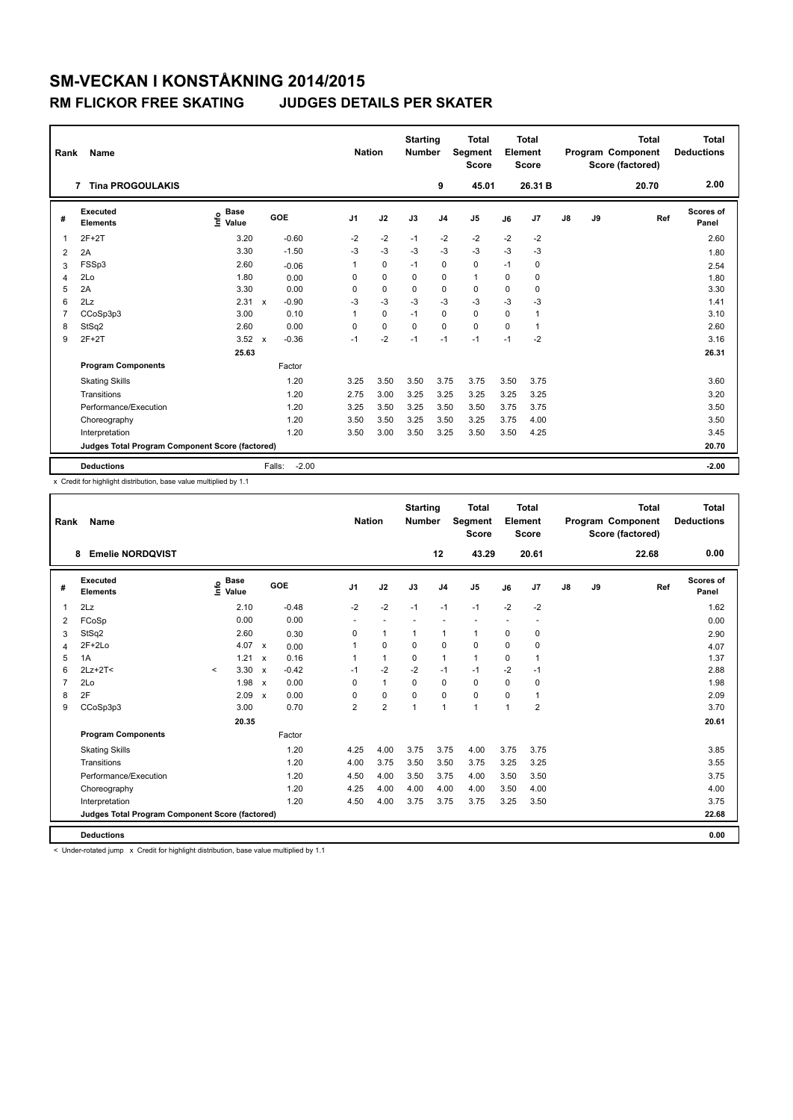| Rank           | Name                                            |                                  |                           |         | <b>Nation</b>  |             | <b>Starting</b><br><b>Number</b> |                | <b>Total</b><br><b>Segment</b><br><b>Score</b> |          | Total<br>Element<br><b>Score</b> |               |    | <b>Total</b><br>Program Component<br>Score (factored) | <b>Total</b><br><b>Deductions</b> |
|----------------|-------------------------------------------------|----------------------------------|---------------------------|---------|----------------|-------------|----------------------------------|----------------|------------------------------------------------|----------|----------------------------------|---------------|----|-------------------------------------------------------|-----------------------------------|
|                | <b>Tina PROGOULAKIS</b><br>7                    |                                  |                           |         |                |             |                                  | 9              | 45.01                                          |          | 26.31 B                          |               |    | 20.70                                                 | 2.00                              |
| #              | Executed<br><b>Elements</b>                     | <b>Base</b><br>e Base<br>E Value |                           | GOE     | J <sub>1</sub> | J2          | J3                               | J <sub>4</sub> | J5                                             | J6       | J7                               | $\mathsf{J}8$ | J9 | Ref                                                   | Scores of<br>Panel                |
| 1              | $2F+2T$                                         | 3.20                             |                           | $-0.60$ | $-2$           | $-2$        | $-1$                             | $-2$           | $-2$                                           | $-2$     | $-2$                             |               |    |                                                       | 2.60                              |
| 2              | 2A                                              | 3.30                             |                           | $-1.50$ | $-3$           | $-3$        | $-3$                             | $-3$           | $-3$                                           | $-3$     | $-3$                             |               |    |                                                       | 1.80                              |
| 3              | FSSp3                                           | 2.60                             |                           | $-0.06$ | 1              | $\mathbf 0$ | $-1$                             | $\mathbf 0$    | $\mathbf 0$                                    | $-1$     | 0                                |               |    |                                                       | 2.54                              |
| $\overline{4}$ | 2Lo                                             | 1.80                             |                           | 0.00    | $\Omega$       | $\Omega$    | $\Omega$                         | $\mathbf 0$    | $\mathbf{1}$                                   | $\Omega$ | $\Omega$                         |               |    |                                                       | 1.80                              |
| 5              | 2A                                              | 3.30                             |                           | 0.00    | $\Omega$       | $\Omega$    | $\Omega$                         | 0              | 0                                              | $\Omega$ | $\Omega$                         |               |    |                                                       | 3.30                              |
| 6              | 2Lz                                             | 2.31                             | $\mathbf{x}$              | $-0.90$ | $-3$           | $-3$        | $-3$                             | $-3$           | $-3$                                           | $-3$     | $-3$                             |               |    |                                                       | 1.41                              |
| $\overline{7}$ | CCoSp3p3                                        | 3.00                             |                           | 0.10    | $\mathbf 1$    | 0           | $-1$                             | $\mathbf 0$    | $\mathbf 0$                                    | $\Omega$ | 1                                |               |    |                                                       | 3.10                              |
| 8              | StSq2                                           | 2.60                             |                           | 0.00    | $\Omega$       | $\mathbf 0$ | $\Omega$                         | $\Omega$       | $\Omega$                                       | $\Omega$ | 1                                |               |    |                                                       | 2.60                              |
| 9              | $2F+2T$                                         | 3.52                             | $\boldsymbol{\mathsf{x}}$ | $-0.36$ | $-1$           | $-2$        | $-1$                             | $-1$           | $-1$                                           | $-1$     | $-2$                             |               |    |                                                       | 3.16                              |
|                |                                                 | 25.63                            |                           |         |                |             |                                  |                |                                                |          |                                  |               |    |                                                       | 26.31                             |
|                | <b>Program Components</b>                       |                                  |                           | Factor  |                |             |                                  |                |                                                |          |                                  |               |    |                                                       |                                   |
|                | <b>Skating Skills</b>                           |                                  |                           | 1.20    | 3.25           | 3.50        | 3.50                             | 3.75           | 3.75                                           | 3.50     | 3.75                             |               |    |                                                       | 3.60                              |
|                | Transitions                                     |                                  |                           | 1.20    | 2.75           | 3.00        | 3.25                             | 3.25           | 3.25                                           | 3.25     | 3.25                             |               |    |                                                       | 3.20                              |
|                | Performance/Execution                           |                                  |                           | 1.20    | 3.25           | 3.50        | 3.25                             | 3.50           | 3.50                                           | 3.75     | 3.75                             |               |    |                                                       | 3.50                              |
|                | Choreography                                    |                                  |                           | 1.20    | 3.50           | 3.50        | 3.25                             | 3.50           | 3.25                                           | 3.75     | 4.00                             |               |    |                                                       | 3.50                              |
|                | Interpretation                                  |                                  |                           | 1.20    | 3.50           | 3.00        | 3.50                             | 3.25           | 3.50                                           | 3.50     | 4.25                             |               |    |                                                       | 3.45                              |
|                | Judges Total Program Component Score (factored) |                                  |                           |         |                |             |                                  |                |                                                |          |                                  |               |    |                                                       | 20.70                             |
|                | <b>Deductions</b>                               |                                  | Falls:                    | $-2.00$ |                |             |                                  |                |                                                |          |                                  |               |    |                                                       | $-2.00$                           |

x Credit for highlight distribution, base value multiplied by 1.1

| Rank           | Name                                            |         |                                  |                           |         |                | <b>Nation</b>  | <b>Starting</b><br><b>Number</b> |                | <b>Total</b><br>Segment<br><b>Score</b> |          | Total<br>Element<br><b>Score</b> |               |    | <b>Total</b><br>Program Component<br>Score (factored) | <b>Total</b><br><b>Deductions</b> |
|----------------|-------------------------------------------------|---------|----------------------------------|---------------------------|---------|----------------|----------------|----------------------------------|----------------|-----------------------------------------|----------|----------------------------------|---------------|----|-------------------------------------------------------|-----------------------------------|
|                | <b>Emelie NORDQVIST</b><br>8                    |         |                                  |                           |         |                |                |                                  | 12             | 43.29                                   |          | 20.61                            |               |    | 22.68                                                 | 0.00                              |
| #              | Executed<br><b>Elements</b>                     |         | <b>Base</b><br>e Base<br>⊆ Value |                           | GOE     | J <sub>1</sub> | J2             | J3                               | J <sub>4</sub> | J <sub>5</sub>                          | J6       | J7                               | $\mathsf{J}8$ | J9 | Ref                                                   | Scores of<br>Panel                |
| $\overline{1}$ | 2Lz                                             |         | 2.10                             |                           | $-0.48$ | $-2$           | $-2$           | $-1$                             | $-1$           | $-1$                                    | $-2$     | $-2$                             |               |    |                                                       | 1.62                              |
| 2              | FCoSp                                           |         | 0.00                             |                           | 0.00    | ٠              | $\sim$         | ä,                               | ٠              |                                         |          |                                  |               |    |                                                       | 0.00                              |
| 3              | StSq2                                           |         | 2.60                             |                           | 0.30    | $\Omega$       | $\mathbf{1}$   | $\mathbf{1}$                     | $\mathbf{1}$   | 1                                       | 0        | 0                                |               |    |                                                       | 2.90                              |
| $\overline{4}$ | $2F+2Lo$                                        |         | 4.07                             | $\mathsf{x}$              | 0.00    |                | $\Omega$       | $\Omega$                         | $\Omega$       | $\Omega$                                | 0        | $\Omega$                         |               |    |                                                       | 4.07                              |
| 5              | 1A                                              |         | 1.21                             | $\boldsymbol{\mathsf{x}}$ | 0.16    |                | $\mathbf{1}$   | $\mathbf 0$                      | $\mathbf{1}$   | 1                                       | 0        | $\mathbf{1}$                     |               |    |                                                       | 1.37                              |
| 6              | $2Lz+2T<$                                       | $\prec$ | 3.30                             | $\boldsymbol{\mathsf{x}}$ | $-0.42$ | $-1$           | $-2$           | $-2$                             | $-1$           | $-1$                                    | $-2$     | $-1$                             |               |    |                                                       | 2.88                              |
| $\overline{7}$ | 2Lo                                             |         | 1.98                             | $\boldsymbol{\mathsf{x}}$ | 0.00    | $\Omega$       | $\mathbf{1}$   | $\Omega$                         | $\mathbf 0$    | $\Omega$                                | 0        | $\mathbf 0$                      |               |    |                                                       | 1.98                              |
| 8              | 2F                                              |         | 2.09                             | $\boldsymbol{\mathsf{x}}$ | 0.00    | $\Omega$       | $\mathbf 0$    | $\Omega$                         | 0              | $\mathbf 0$                             | $\Omega$ | $\mathbf{1}$                     |               |    |                                                       | 2.09                              |
| 9              | CCoSp3p3                                        |         | 3.00                             |                           | 0.70    | $\overline{2}$ | $\overline{2}$ | $\mathbf{1}$                     | $\mathbf{1}$   | $\overline{1}$                          | 1        | $\overline{2}$                   |               |    |                                                       | 3.70                              |
|                |                                                 |         | 20.35                            |                           |         |                |                |                                  |                |                                         |          |                                  |               |    |                                                       | 20.61                             |
|                | <b>Program Components</b>                       |         |                                  |                           | Factor  |                |                |                                  |                |                                         |          |                                  |               |    |                                                       |                                   |
|                | <b>Skating Skills</b>                           |         |                                  |                           | 1.20    | 4.25           | 4.00           | 3.75                             | 3.75           | 4.00                                    | 3.75     | 3.75                             |               |    |                                                       | 3.85                              |
|                | Transitions                                     |         |                                  |                           | 1.20    | 4.00           | 3.75           | 3.50                             | 3.50           | 3.75                                    | 3.25     | 3.25                             |               |    |                                                       | 3.55                              |
|                | Performance/Execution                           |         |                                  |                           | 1.20    | 4.50           | 4.00           | 3.50                             | 3.75           | 4.00                                    | 3.50     | 3.50                             |               |    |                                                       | 3.75                              |
|                | Choreography                                    |         |                                  |                           | 1.20    | 4.25           | 4.00           | 4.00                             | 4.00           | 4.00                                    | 3.50     | 4.00                             |               |    |                                                       | 4.00                              |
|                | Interpretation                                  |         |                                  |                           | 1.20    | 4.50           | 4.00           | 3.75                             | 3.75           | 3.75                                    | 3.25     | 3.50                             |               |    |                                                       | 3.75                              |
|                | Judges Total Program Component Score (factored) |         |                                  |                           |         |                |                |                                  |                |                                         |          |                                  |               |    |                                                       | 22.68                             |
|                | <b>Deductions</b>                               |         |                                  |                           |         |                |                |                                  |                |                                         |          |                                  |               |    |                                                       | 0.00                              |

< Under-rotated jump x Credit for highlight distribution, base value multiplied by 1.1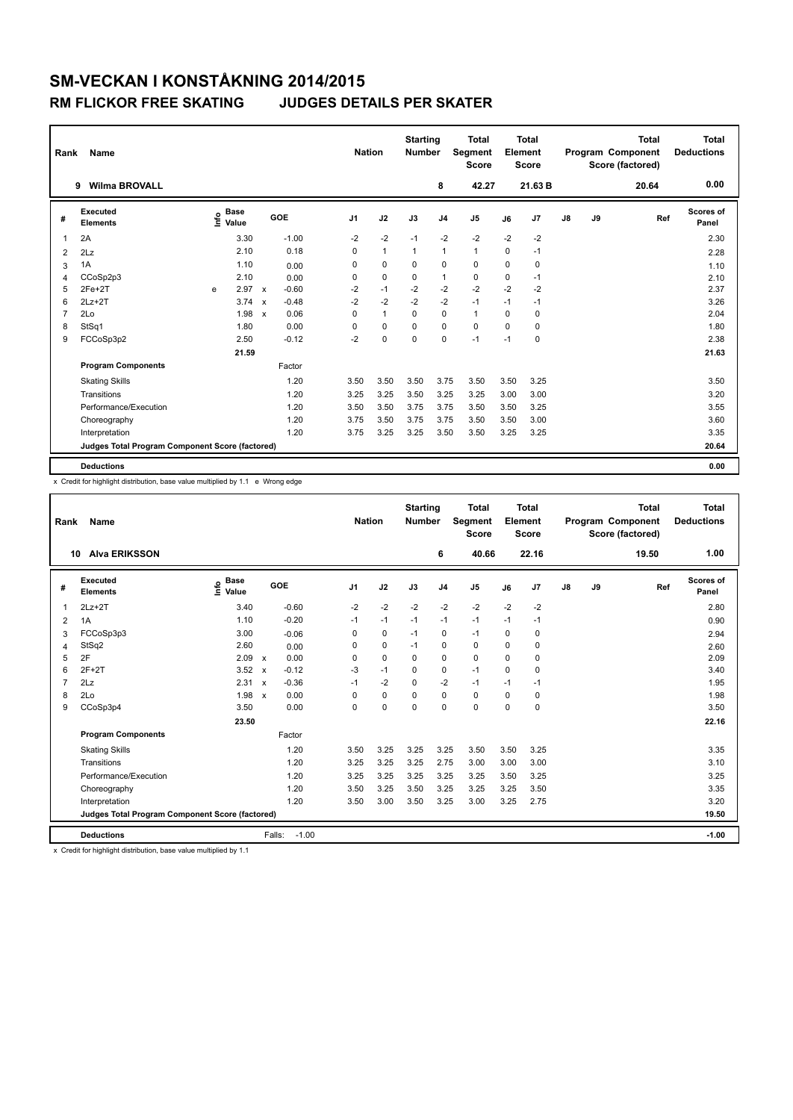| Rank           | Name                                            |   |                                    |                           |         |                | <b>Nation</b> | <b>Starting</b><br><b>Number</b> |                | <b>Total</b><br>Segment<br><b>Score</b> |             | <b>Total</b><br>Element<br><b>Score</b> |               |    | <b>Total</b><br>Program Component<br>Score (factored) | <b>Total</b><br><b>Deductions</b> |
|----------------|-------------------------------------------------|---|------------------------------------|---------------------------|---------|----------------|---------------|----------------------------------|----------------|-----------------------------------------|-------------|-----------------------------------------|---------------|----|-------------------------------------------------------|-----------------------------------|
|                | <b>Wilma BROVALL</b><br>9                       |   |                                    |                           |         |                |               |                                  | 8              | 42.27                                   |             | 21.63 B                                 |               |    | 20.64                                                 | 0.00                              |
| #              | Executed<br><b>Elements</b>                     |   | <b>Base</b><br>$\frac{6}{5}$ Value |                           | GOE     | J <sub>1</sub> | J2            | J3                               | J <sub>4</sub> | J <sub>5</sub>                          | J6          | J7                                      | $\mathsf{J}8$ | J9 | Ref                                                   | Scores of<br>Panel                |
| 1              | 2A                                              |   | 3.30                               |                           | $-1.00$ | $-2$           | $-2$          | $-1$                             | $-2$           | $-2$                                    | $-2$        | $-2$                                    |               |    |                                                       | 2.30                              |
| 2              | 2Lz                                             |   | 2.10                               |                           | 0.18    | 0              | $\mathbf{1}$  | $\overline{1}$                   | $\overline{1}$ | $\mathbf{1}$                            | $\mathbf 0$ | $-1$                                    |               |    |                                                       | 2.28                              |
| 3              | 1A                                              |   | 1.10                               |                           | 0.00    | 0              | 0             | $\Omega$                         | 0              | $\mathbf 0$                             | $\Omega$    | 0                                       |               |    |                                                       | 1.10                              |
| 4              | CCoSp2p3                                        |   | 2.10                               |                           | 0.00    | 0              | $\mathbf 0$   | 0                                | $\mathbf{1}$   | $\pmb{0}$                               | 0           | $-1$                                    |               |    |                                                       | 2.10                              |
| 5              | $2Fe+2T$                                        | e | 2.97                               | $\boldsymbol{\mathsf{x}}$ | $-0.60$ | -2             | $-1$          | $-2$                             | -2             | $-2$                                    | $-2$        | $-2$                                    |               |    |                                                       | 2.37                              |
| 6              | $2Lz+2T$                                        |   | 3.74                               | $\mathbf{x}$              | $-0.48$ | $-2$           | $-2$          | $-2$                             | $-2$           | $-1$                                    | $-1$        | $-1$                                    |               |    |                                                       | 3.26                              |
| $\overline{7}$ | 2Lo                                             |   | 1.98                               | $\boldsymbol{\mathsf{x}}$ | 0.06    | $\Omega$       | $\mathbf{1}$  | $\Omega$                         | $\mathbf 0$    | $\mathbf{1}$                            | $\Omega$    | $\Omega$                                |               |    |                                                       | 2.04                              |
| 8              | StSq1                                           |   | 1.80                               |                           | 0.00    | 0              | $\mathbf 0$   | $\Omega$                         | 0              | $\mathbf 0$                             | $\Omega$    | 0                                       |               |    |                                                       | 1.80                              |
| 9              | FCCoSp3p2                                       |   | 2.50                               |                           | $-0.12$ | $-2$           | 0             | 0                                | 0              | $-1$                                    | $-1$        | 0                                       |               |    |                                                       | 2.38                              |
|                |                                                 |   | 21.59                              |                           |         |                |               |                                  |                |                                         |             |                                         |               |    |                                                       | 21.63                             |
|                | <b>Program Components</b>                       |   |                                    |                           | Factor  |                |               |                                  |                |                                         |             |                                         |               |    |                                                       |                                   |
|                | <b>Skating Skills</b>                           |   |                                    |                           | 1.20    | 3.50           | 3.50          | 3.50                             | 3.75           | 3.50                                    | 3.50        | 3.25                                    |               |    |                                                       | 3.50                              |
|                | Transitions                                     |   |                                    |                           | 1.20    | 3.25           | 3.25          | 3.50                             | 3.25           | 3.25                                    | 3.00        | 3.00                                    |               |    |                                                       | 3.20                              |
|                | Performance/Execution                           |   |                                    |                           | 1.20    | 3.50           | 3.50          | 3.75                             | 3.75           | 3.50                                    | 3.50        | 3.25                                    |               |    |                                                       | 3.55                              |
|                | Choreography                                    |   |                                    |                           | 1.20    | 3.75           | 3.50          | 3.75                             | 3.75           | 3.50                                    | 3.50        | 3.00                                    |               |    |                                                       | 3.60                              |
|                | Interpretation                                  |   |                                    |                           | 1.20    | 3.75           | 3.25          | 3.25                             | 3.50           | 3.50                                    | 3.25        | 3.25                                    |               |    |                                                       | 3.35                              |
|                | Judges Total Program Component Score (factored) |   |                                    |                           |         |                |               |                                  |                |                                         |             |                                         |               |    |                                                       | 20.64                             |
|                | <b>Deductions</b>                               |   |                                    |                           |         |                |               |                                  |                |                                         |             |                                         |               |    |                                                       | 0.00                              |

x Credit for highlight distribution, base value multiplied by 1.1 e Wrong edge

| Rank           | Name                                            |                                  |                           |         | <b>Nation</b>  |             | <b>Starting</b><br><b>Number</b> |                | <b>Total</b><br><b>Segment</b><br><b>Score</b> |          | <b>Total</b><br>Element<br><b>Score</b> |    |    | <b>Total</b><br>Program Component<br>Score (factored) | <b>Total</b><br><b>Deductions</b> |
|----------------|-------------------------------------------------|----------------------------------|---------------------------|---------|----------------|-------------|----------------------------------|----------------|------------------------------------------------|----------|-----------------------------------------|----|----|-------------------------------------------------------|-----------------------------------|
| 10             | <b>Alva ERIKSSON</b>                            |                                  |                           |         |                |             |                                  | 6              | 40.66                                          |          | 22.16                                   |    |    | 19.50                                                 | 1.00                              |
| #              | Executed<br><b>Elements</b>                     | <b>Base</b><br>e Base<br>⊆ Value | GOE                       |         | J <sub>1</sub> | J2          | J3                               | J <sub>4</sub> | J <sub>5</sub>                                 | J6       | J7                                      | J8 | J9 | Ref                                                   | <b>Scores of</b><br>Panel         |
| $\overline{1}$ | $2Lz + 2T$                                      | 3.40                             |                           | $-0.60$ | $-2$           | $-2$        | $-2$                             | $-2$           | $-2$                                           | $-2$     | $-2$                                    |    |    |                                                       | 2.80                              |
| 2              | 1A                                              | 1.10                             |                           | $-0.20$ | $-1$           | $-1$        | $-1$                             | $-1$           | $-1$                                           | $-1$     | $-1$                                    |    |    |                                                       | 0.90                              |
| 3              | FCCoSp3p3                                       | 3.00                             |                           | $-0.06$ | $\Omega$       | $\mathbf 0$ | $-1$                             | $\pmb{0}$      | $-1$                                           | $\Omega$ | $\mathbf 0$                             |    |    |                                                       | 2.94                              |
| 4              | StSq2                                           | 2.60                             |                           | 0.00    | 0              | $\mathbf 0$ | $-1$                             | $\mathbf 0$    | $\mathbf 0$                                    | 0        | 0                                       |    |    |                                                       | 2.60                              |
| 5              | 2F                                              | 2.09                             | $\boldsymbol{\mathsf{x}}$ | 0.00    | 0              | 0           | 0                                | 0              | 0                                              | $\Omega$ | 0                                       |    |    |                                                       | 2.09                              |
| 6              | $2F+2T$                                         | 3.52                             | $\boldsymbol{\mathsf{x}}$ | $-0.12$ | $-3$           | $-1$        | $\Omega$                         | 0              | $-1$                                           | $\Omega$ | 0                                       |    |    |                                                       | 3.40                              |
| $\overline{7}$ | 2Lz                                             | 2.31                             | $\boldsymbol{\mathsf{x}}$ | $-0.36$ | $-1$           | $-2$        | $\Omega$                         | $-2$           | $-1$                                           | $-1$     | $-1$                                    |    |    |                                                       | 1.95                              |
| 8              | 2Lo                                             | 1.98                             | $\boldsymbol{\mathsf{x}}$ | 0.00    | 0              | $\mathbf 0$ | $\Omega$                         | $\mathbf 0$    | 0                                              | 0        | 0                                       |    |    |                                                       | 1.98                              |
| 9              | CCoSp3p4                                        | 3.50                             |                           | 0.00    | $\Omega$       | $\Omega$    | $\Omega$                         | $\Omega$       | $\Omega$                                       | 0        | $\Omega$                                |    |    |                                                       | 3.50                              |
|                |                                                 | 23.50                            |                           |         |                |             |                                  |                |                                                |          |                                         |    |    |                                                       | 22.16                             |
|                | <b>Program Components</b>                       |                                  |                           | Factor  |                |             |                                  |                |                                                |          |                                         |    |    |                                                       |                                   |
|                | <b>Skating Skills</b>                           |                                  |                           | 1.20    | 3.50           | 3.25        | 3.25                             | 3.25           | 3.50                                           | 3.50     | 3.25                                    |    |    |                                                       | 3.35                              |
|                | Transitions                                     |                                  |                           | 1.20    | 3.25           | 3.25        | 3.25                             | 2.75           | 3.00                                           | 3.00     | 3.00                                    |    |    |                                                       | 3.10                              |
|                | Performance/Execution                           |                                  |                           | 1.20    | 3.25           | 3.25        | 3.25                             | 3.25           | 3.25                                           | 3.50     | 3.25                                    |    |    |                                                       | 3.25                              |
|                | Choreography                                    |                                  |                           | 1.20    | 3.50           | 3.25        | 3.50                             | 3.25           | 3.25                                           | 3.25     | 3.50                                    |    |    |                                                       | 3.35                              |
|                | Interpretation                                  |                                  |                           | 1.20    | 3.50           | 3.00        | 3.50                             | 3.25           | 3.00                                           | 3.25     | 2.75                                    |    |    |                                                       | 3.20                              |
|                | Judges Total Program Component Score (factored) |                                  |                           |         |                |             |                                  |                |                                                |          |                                         |    |    |                                                       | 19.50                             |
|                | <b>Deductions</b>                               |                                  | Falls:                    | $-1.00$ |                |             |                                  |                |                                                |          |                                         |    |    |                                                       | $-1.00$                           |

x Credit for highlight distribution, base value multiplied by 1.1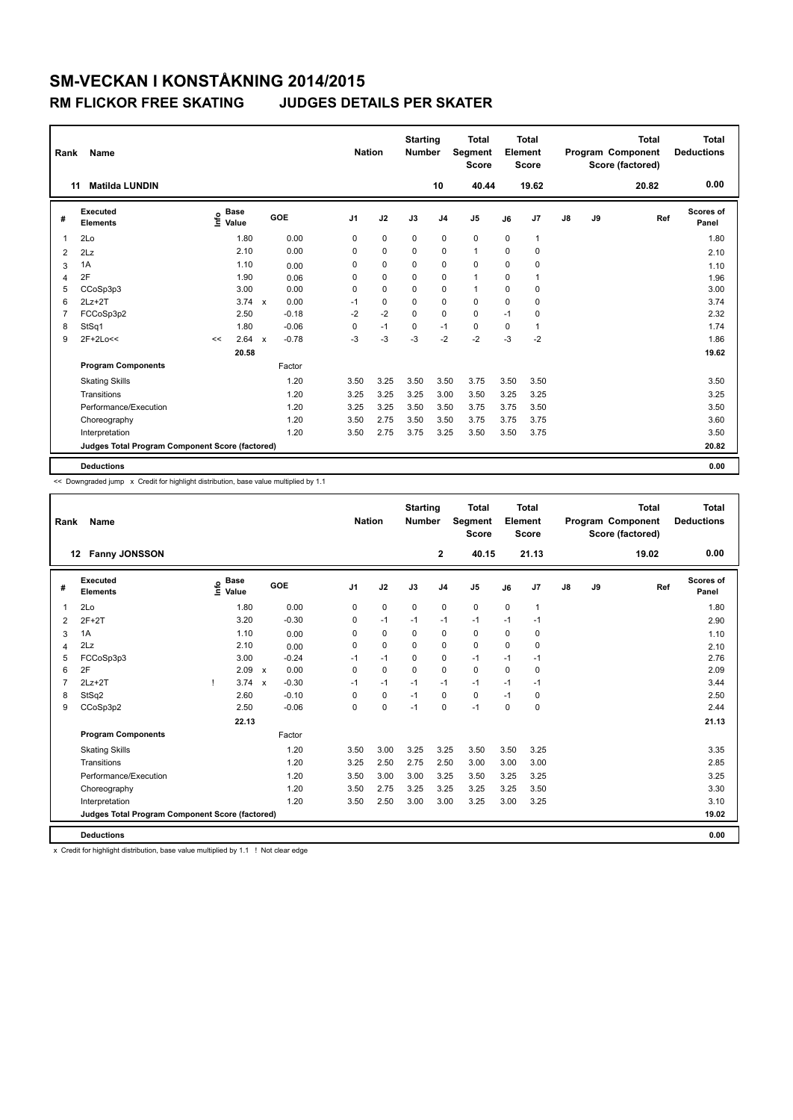| Rank           | Name                                            |      |                      |              |         |                | <b>Nation</b> |    | <b>Starting</b><br><b>Number</b> |                | <b>Total</b><br>Segment<br><b>Score</b> |             | <b>Total</b><br>Element<br><b>Score</b> |               |    | <b>Total</b><br>Program Component<br>Score (factored) | <b>Total</b><br><b>Deductions</b> |
|----------------|-------------------------------------------------|------|----------------------|--------------|---------|----------------|---------------|----|----------------------------------|----------------|-----------------------------------------|-------------|-----------------------------------------|---------------|----|-------------------------------------------------------|-----------------------------------|
| 11             | <b>Matilda LUNDIN</b>                           |      |                      |              |         |                |               |    |                                  | 10             | 40.44                                   |             | 19.62                                   |               |    | 20.82                                                 | 0.00                              |
| #              | Executed<br><b>Elements</b>                     | lnfo | <b>Base</b><br>Value |              | GOE     | J <sub>1</sub> | J2            | J3 |                                  | J <sub>4</sub> | J <sub>5</sub>                          | J6          | J7                                      | $\mathsf{J}8$ | J9 | Ref                                                   | <b>Scores of</b><br>Panel         |
| 1              | 2 <sub>0</sub>                                  |      | 1.80                 |              | 0.00    | 0              | 0             |    | 0                                | 0              | $\mathbf 0$                             | 0           | 1                                       |               |    |                                                       | 1.80                              |
| $\overline{2}$ | 2Lz                                             |      | 2.10                 |              | 0.00    | 0              | 0             |    | $\Omega$                         | 0              | $\mathbf{1}$                            | $\Omega$    | $\mathbf 0$                             |               |    |                                                       | 2.10                              |
| 3              | 1A                                              |      | 1.10                 |              | 0.00    | 0              | $\mathbf 0$   |    | 0                                | $\mathbf 0$    | $\mathbf 0$                             | $\Omega$    | $\mathbf 0$                             |               |    |                                                       | 1.10                              |
| 4              | 2F                                              |      | 1.90                 |              | 0.06    | 0              | $\mathbf 0$   |    | 0                                | $\mathbf 0$    | $\mathbf{1}$                            | 0           |                                         |               |    |                                                       | 1.96                              |
| 5              | CCoSp3p3                                        |      | 3.00                 |              | 0.00    | 0              | $\mathbf 0$   |    | 0                                | $\pmb{0}$      | $\mathbf{1}$                            | $\mathbf 0$ | $\mathbf 0$                             |               |    |                                                       | 3.00                              |
| 6              | $2Lz+2T$                                        |      | $3.74 \times$        |              | 0.00    | -1             | 0             |    | $\Omega$                         | 0              | 0                                       | $\Omega$    | $\Omega$                                |               |    |                                                       | 3.74                              |
| 7              | FCCoSp3p2                                       |      | 2.50                 |              | $-0.18$ | $-2$           | $-2$          |    | $\Omega$                         | $\mathbf 0$    | $\mathbf 0$                             | $-1$        | $\mathbf 0$                             |               |    |                                                       | 2.32                              |
| 8              | StSq1                                           |      | 1.80                 |              | $-0.06$ | 0              | $-1$          |    | 0                                | $-1$           | $\mathbf 0$                             | $\mathbf 0$ |                                         |               |    |                                                       | 1.74                              |
| 9              | 2F+2Lo<<                                        | <<   | 2.64                 | $\mathsf{x}$ | $-0.78$ | -3             | $-3$          |    | $-3$                             | $-2$           | $-2$                                    | $-3$        | $-2$                                    |               |    |                                                       | 1.86                              |
|                |                                                 |      | 20.58                |              |         |                |               |    |                                  |                |                                         |             |                                         |               |    |                                                       | 19.62                             |
|                | <b>Program Components</b>                       |      |                      |              | Factor  |                |               |    |                                  |                |                                         |             |                                         |               |    |                                                       |                                   |
|                | <b>Skating Skills</b>                           |      |                      |              | 1.20    | 3.50           | 3.25          |    | 3.50                             | 3.50           | 3.75                                    | 3.50        | 3.50                                    |               |    |                                                       | 3.50                              |
|                | Transitions                                     |      |                      |              | 1.20    | 3.25           | 3.25          |    | 3.25                             | 3.00           | 3.50                                    | 3.25        | 3.25                                    |               |    |                                                       | 3.25                              |
|                | Performance/Execution                           |      |                      |              | 1.20    | 3.25           | 3.25          |    | 3.50                             | 3.50           | 3.75                                    | 3.75        | 3.50                                    |               |    |                                                       | 3.50                              |
|                | Choreography                                    |      |                      |              | 1.20    | 3.50           | 2.75          |    | 3.50                             | 3.50           | 3.75                                    | 3.75        | 3.75                                    |               |    |                                                       | 3.60                              |
|                | Interpretation                                  |      |                      |              | 1.20    | 3.50           | 2.75          |    | 3.75                             | 3.25           | 3.50                                    | 3.50        | 3.75                                    |               |    |                                                       | 3.50                              |
|                | Judges Total Program Component Score (factored) |      |                      |              |         |                |               |    |                                  |                |                                         |             |                                         |               |    |                                                       | 20.82                             |
|                | <b>Deductions</b>                               |      |                      |              |         |                |               |    |                                  |                |                                         |             |                                         |               |    |                                                       | 0.00                              |

<< Downgraded jump x Credit for highlight distribution, base value multiplied by 1.1

| Rank           | <b>Name</b>                                     |                                    |                           |         | <b>Nation</b>  |             | <b>Starting</b><br><b>Number</b> |                | <b>Total</b><br><b>Segment</b><br><b>Score</b> |             | <b>Total</b><br>Element<br><b>Score</b> |    |    | <b>Total</b><br>Program Component<br>Score (factored) | <b>Total</b><br><b>Deductions</b> |
|----------------|-------------------------------------------------|------------------------------------|---------------------------|---------|----------------|-------------|----------------------------------|----------------|------------------------------------------------|-------------|-----------------------------------------|----|----|-------------------------------------------------------|-----------------------------------|
|                | <b>Fanny JONSSON</b><br>12                      |                                    |                           |         |                |             |                                  | $\mathbf{2}$   | 40.15                                          |             | 21.13                                   |    |    | 19.02                                                 | 0.00                              |
| #              | Executed<br><b>Elements</b>                     | <b>Base</b><br>$\frac{6}{5}$ Value |                           | GOE     | J <sub>1</sub> | J2          | J3                               | J <sub>4</sub> | J <sub>5</sub>                                 | J6          | J7                                      | J8 | J9 | Ref                                                   | Scores of<br>Panel                |
| $\overline{1}$ | 2Lo                                             | 1.80                               |                           | 0.00    | 0              | $\mathbf 0$ | $\mathbf 0$                      | $\mathbf 0$    | $\mathbf 0$                                    | $\mathbf 0$ | $\mathbf{1}$                            |    |    |                                                       | 1.80                              |
| 2              | $2F+2T$                                         | 3.20                               |                           | $-0.30$ | 0              | $-1$        | $-1$                             | $-1$           | $-1$                                           | $-1$        | $-1$                                    |    |    |                                                       | 2.90                              |
| 3              | 1A                                              | 1.10                               |                           | 0.00    | 0              | 0           | 0                                | 0              | $\mathbf 0$                                    | 0           | 0                                       |    |    |                                                       | 1.10                              |
| $\overline{4}$ | 2Lz                                             | 2.10                               |                           | 0.00    | $\Omega$       | $\Omega$    | $\Omega$                         | $\mathbf 0$    | $\Omega$                                       | 0           | 0                                       |    |    |                                                       | 2.10                              |
| 5              | FCCoSp3p3                                       | 3.00                               |                           | $-0.24$ | $-1$           | $-1$        | $\Omega$                         | $\mathbf 0$    | $-1$                                           | $-1$        | $-1$                                    |    |    |                                                       | 2.76                              |
| 6              | 2F                                              | 2.09                               | $\boldsymbol{\mathsf{x}}$ | 0.00    | 0              | $\mathbf 0$ | 0                                | $\mathbf 0$    | $\mathbf 0$                                    | $\Omega$    | 0                                       |    |    |                                                       | 2.09                              |
| $\overline{7}$ | $2Lz+2T$                                        | 3.74                               | $\boldsymbol{\mathsf{x}}$ | $-0.30$ | $-1$           | $-1$        | $-1$                             | $-1$           | $-1$                                           | $-1$        | $-1$                                    |    |    |                                                       | 3.44                              |
| 8              | StSq2                                           | 2.60                               |                           | $-0.10$ | $\Omega$       | $\mathbf 0$ | $-1$                             | $\Omega$       | $\mathbf 0$                                    | $-1$        | $\Omega$                                |    |    |                                                       | 2.50                              |
| 9              | CCoSp3p2                                        | 2.50                               |                           | $-0.06$ | 0              | $\mathbf 0$ | $-1$                             | $\mathbf 0$    | $-1$                                           | $\mathbf 0$ | 0                                       |    |    |                                                       | 2.44                              |
|                |                                                 | 22.13                              |                           |         |                |             |                                  |                |                                                |             |                                         |    |    |                                                       | 21.13                             |
|                | <b>Program Components</b>                       |                                    |                           | Factor  |                |             |                                  |                |                                                |             |                                         |    |    |                                                       |                                   |
|                | <b>Skating Skills</b>                           |                                    |                           | 1.20    | 3.50           | 3.00        | 3.25                             | 3.25           | 3.50                                           | 3.50        | 3.25                                    |    |    |                                                       | 3.35                              |
|                | Transitions                                     |                                    |                           | 1.20    | 3.25           | 2.50        | 2.75                             | 2.50           | 3.00                                           | 3.00        | 3.00                                    |    |    |                                                       | 2.85                              |
|                | Performance/Execution                           |                                    |                           | 1.20    | 3.50           | 3.00        | 3.00                             | 3.25           | 3.50                                           | 3.25        | 3.25                                    |    |    |                                                       | 3.25                              |
|                | Choreography                                    |                                    |                           | 1.20    | 3.50           | 2.75        | 3.25                             | 3.25           | 3.25                                           | 3.25        | 3.50                                    |    |    |                                                       | 3.30                              |
|                | Interpretation                                  |                                    |                           | 1.20    | 3.50           | 2.50        | 3.00                             | 3.00           | 3.25                                           | 3.00        | 3.25                                    |    |    |                                                       | 3.10                              |
|                | Judges Total Program Component Score (factored) |                                    |                           |         |                |             |                                  |                |                                                |             |                                         |    |    |                                                       | 19.02                             |
|                | <b>Deductions</b>                               |                                    |                           |         |                |             |                                  |                |                                                |             |                                         |    |    |                                                       | 0.00                              |

x Credit for highlight distribution, base value multiplied by 1.1 ! Not clear edge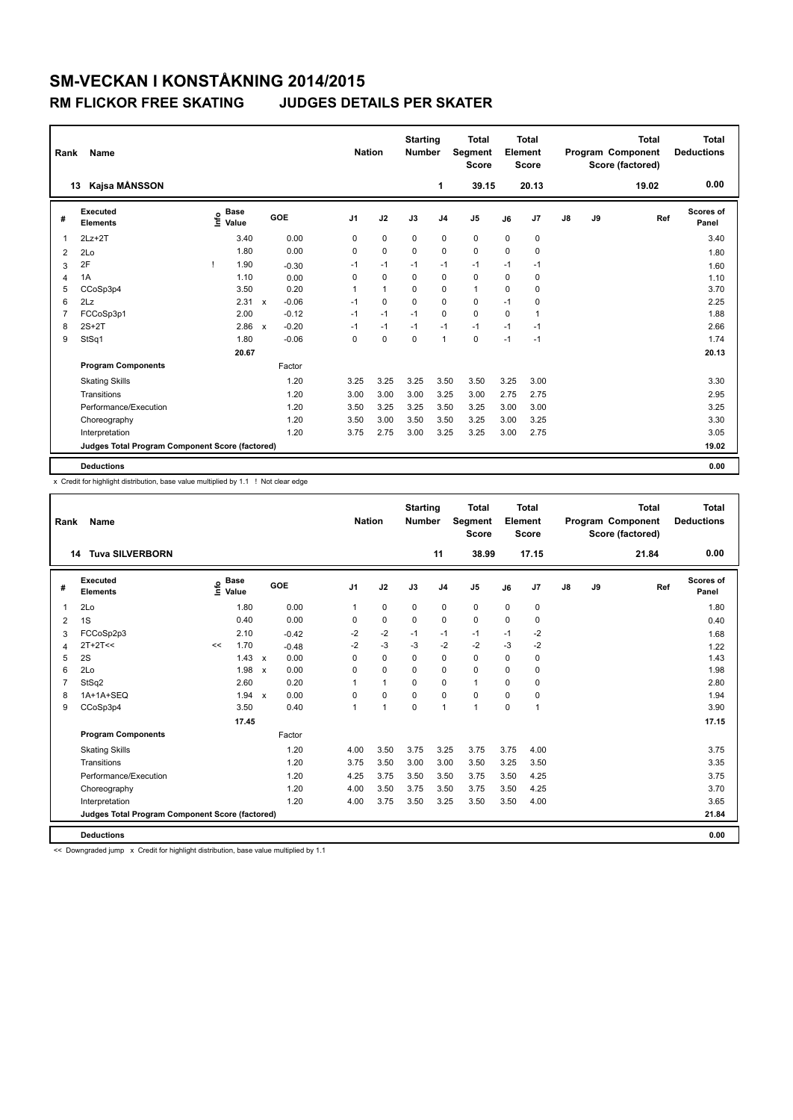|                | Name<br>Rank                                    |  |                                  |                           |         |  |                |              | <b>Starting</b><br><b>Number</b> |                | <b>Total</b><br>Segment<br><b>Score</b> |             | Total<br>Element<br><b>Score</b> | Program Component |    | <b>Total</b><br>Score (factored) | <b>Total</b><br><b>Deductions</b> |
|----------------|-------------------------------------------------|--|----------------------------------|---------------------------|---------|--|----------------|--------------|----------------------------------|----------------|-----------------------------------------|-------------|----------------------------------|-------------------|----|----------------------------------|-----------------------------------|
| 13             | Kajsa MÅNSSON                                   |  |                                  |                           |         |  |                |              |                                  | 1              | 39.15                                   |             | 20.13                            |                   |    | 19.02                            | 0.00                              |
| #              | Executed<br><b>Elements</b>                     |  | <b>Base</b><br>e Base<br>⊆ Value |                           | GOE     |  | J <sub>1</sub> | J2           | J3                               | J <sub>4</sub> | J5                                      | J6          | J7                               | $\mathsf{J}8$     | J9 | Ref                              | <b>Scores of</b><br>Panel         |
| $\mathbf{1}$   | $2Lz+2T$                                        |  | 3.40                             |                           | 0.00    |  | 0              | $\pmb{0}$    | 0                                | $\mathbf 0$    | 0                                       | 0           | 0                                |                   |    |                                  | 3.40                              |
| 2              | 2 <sub>0</sub>                                  |  | 1.80                             |                           | 0.00    |  | $\Omega$       | $\mathbf 0$  | $\Omega$                         | 0              | $\mathbf 0$                             | $\Omega$    | $\Omega$                         |                   |    |                                  | 1.80                              |
| 3              | 2F                                              |  | 1.90                             |                           | $-0.30$ |  | $-1$           | $-1$         | $-1$                             | $-1$           | $-1$                                    | $-1$        | $-1$                             |                   |    |                                  | 1.60                              |
| $\overline{4}$ | 1A                                              |  | 1.10                             |                           | 0.00    |  | 0              | $\mathbf 0$  | $\mathbf 0$                      | $\mathbf 0$    | $\mathbf 0$                             | 0           | 0                                |                   |    |                                  | 1.10                              |
| 5              | CCoSp3p4                                        |  | 3.50                             |                           | 0.20    |  | 1              | $\mathbf{1}$ | $\Omega$                         | $\mathbf 0$    | $\mathbf{1}$                            | $\Omega$    | 0                                |                   |    |                                  | 3.70                              |
| 6              | 2Lz                                             |  | 2.31                             | $\boldsymbol{\mathsf{x}}$ | $-0.06$ |  | $-1$           | $\mathbf 0$  | $\Omega$                         | $\mathbf 0$    | $\mathbf 0$                             | $-1$        | 0                                |                   |    |                                  | 2.25                              |
| 7              | FCCoSp3p1                                       |  | 2.00                             |                           | $-0.12$ |  | $-1$           | $-1$         | $-1$                             | $\mathbf 0$    | $\mathbf 0$                             | $\mathbf 0$ | $\overline{1}$                   |                   |    |                                  | 1.88                              |
| 8              | $2S+2T$                                         |  | 2.86                             | $\boldsymbol{\mathsf{x}}$ | $-0.20$ |  | $-1$           | $-1$         | $-1$                             | $-1$           | $-1$                                    | $-1$        | $-1$                             |                   |    |                                  | 2.66                              |
| 9              | StSq1                                           |  | 1.80                             |                           | $-0.06$ |  | 0              | $\mathbf 0$  | $\mathbf 0$                      | $\mathbf{1}$   | $\mathbf 0$                             | $-1$        | $-1$                             |                   |    |                                  | 1.74                              |
|                |                                                 |  | 20.67                            |                           |         |  |                |              |                                  |                |                                         |             |                                  |                   |    |                                  | 20.13                             |
|                | <b>Program Components</b>                       |  |                                  |                           | Factor  |  |                |              |                                  |                |                                         |             |                                  |                   |    |                                  |                                   |
|                | <b>Skating Skills</b>                           |  |                                  |                           | 1.20    |  | 3.25           | 3.25         | 3.25                             | 3.50           | 3.50                                    | 3.25        | 3.00                             |                   |    |                                  | 3.30                              |
|                | Transitions                                     |  |                                  |                           | 1.20    |  | 3.00           | 3.00         | 3.00                             | 3.25           | 3.00                                    | 2.75        | 2.75                             |                   |    |                                  | 2.95                              |
|                | Performance/Execution                           |  |                                  |                           | 1.20    |  | 3.50           | 3.25         | 3.25                             | 3.50           | 3.25                                    | 3.00        | 3.00                             |                   |    |                                  | 3.25                              |
|                | Choreography                                    |  |                                  |                           | 1.20    |  | 3.50           | 3.00         | 3.50                             | 3.50           | 3.25                                    | 3.00        | 3.25                             |                   |    |                                  | 3.30                              |
|                | Interpretation                                  |  |                                  |                           | 1.20    |  | 3.75           | 2.75         | 3.00                             | 3.25           | 3.25                                    | 3.00        | 2.75                             |                   |    |                                  | 3.05                              |
|                | Judges Total Program Component Score (factored) |  |                                  |                           |         |  |                |              |                                  |                |                                         |             |                                  |                   |    |                                  | 19.02                             |
|                | <b>Deductions</b>                               |  |                                  |                           |         |  |                |              |                                  |                |                                         |             |                                  |                   |    |                                  | 0.00                              |

x Credit for highlight distribution, base value multiplied by 1.1 ! Not clear edge

| Rank           | <b>Name</b>                                     |    |                                  |                           |         | <b>Nation</b>  |              | <b>Starting</b><br><b>Number</b> |                | Total<br>Segment<br><b>Score</b> |             | Total<br>Element<br><b>Score</b> |    |    | <b>Total</b><br>Program Component<br>Score (factored) | <b>Total</b><br><b>Deductions</b> |
|----------------|-------------------------------------------------|----|----------------------------------|---------------------------|---------|----------------|--------------|----------------------------------|----------------|----------------------------------|-------------|----------------------------------|----|----|-------------------------------------------------------|-----------------------------------|
|                | <b>Tuva SILVERBORN</b><br>14                    |    |                                  |                           |         |                |              |                                  | 11             | 38.99                            |             | 17.15                            |    |    | 21.84                                                 | 0.00                              |
| #              | Executed<br><b>Elements</b>                     |    | <b>Base</b><br>e Base<br>⊆ Value | GOE                       |         | J <sub>1</sub> | J2           | J3                               | J <sub>4</sub> | J <sub>5</sub>                   | J6          | J7                               | J8 | J9 | Ref                                                   | Scores of<br>Panel                |
| $\mathbf 1$    | 2Lo                                             |    | 1.80                             |                           | 0.00    | $\mathbf{1}$   | $\mathbf 0$  | $\mathbf 0$                      | $\mathbf 0$    | $\mathbf 0$                      | $\mathbf 0$ | $\mathbf 0$                      |    |    |                                                       | 1.80                              |
| 2              | 1S                                              |    | 0.40                             |                           | 0.00    | 0              | $\mathbf 0$  | $\mathbf 0$                      | $\mathbf 0$    | $\mathbf 0$                      | $\mathbf 0$ | 0                                |    |    |                                                       | 0.40                              |
| 3              | FCCoSp2p3                                       |    | 2.10                             |                           | $-0.42$ | $-2$           | $-2$         | $-1$                             | $-1$           | $-1$                             | $-1$        | $-2$                             |    |    |                                                       | 1.68                              |
| $\overline{4}$ | $2T+2T<<$                                       | << | 1.70                             |                           | $-0.48$ | $-2$           | $-3$         | $-3$                             | $-2$           | $-2$                             | $-3$        | $-2$                             |    |    |                                                       | 1.22                              |
| 5              | 2S                                              |    | 1.43                             | $\mathbf{x}$              | 0.00    | $\Omega$       | $\mathbf 0$  | $\Omega$                         | $\mathbf 0$    | $\Omega$                         | $\Omega$    | $\mathbf 0$                      |    |    |                                                       | 1.43                              |
| 6              | 2Lo                                             |    | 1.98                             | $\boldsymbol{\mathsf{x}}$ | 0.00    | 0              | $\mathbf 0$  | 0                                | $\mathbf 0$    | $\mathbf 0$                      | 0           | 0                                |    |    |                                                       | 1.98                              |
| $\overline{7}$ | StSq2                                           |    | 2.60                             |                           | 0.20    |                | $\mathbf{1}$ | $\Omega$                         | $\mathbf 0$    | $\mathbf{1}$                     | 0           | $\mathbf 0$                      |    |    |                                                       | 2.80                              |
| 8              | 1A+1A+SEQ                                       |    | 1.94                             | $\boldsymbol{\mathsf{x}}$ | 0.00    | $\Omega$       | $\mathbf 0$  | 0                                | 0              | $\mathbf 0$                      | 0           | 0                                |    |    |                                                       | 1.94                              |
| 9              | CCoSp3p4                                        |    | 3.50                             |                           | 0.40    |                | $\mathbf{1}$ | $\Omega$                         | $\mathbf{1}$   | $\mathbf{1}$                     | 0           | $\mathbf{1}$                     |    |    |                                                       | 3.90                              |
|                |                                                 |    | 17.45                            |                           |         |                |              |                                  |                |                                  |             |                                  |    |    |                                                       | 17.15                             |
|                | <b>Program Components</b>                       |    |                                  | Factor                    |         |                |              |                                  |                |                                  |             |                                  |    |    |                                                       |                                   |
|                | <b>Skating Skills</b>                           |    |                                  |                           | 1.20    | 4.00           | 3.50         | 3.75                             | 3.25           | 3.75                             | 3.75        | 4.00                             |    |    |                                                       | 3.75                              |
|                | Transitions                                     |    |                                  |                           | 1.20    | 3.75           | 3.50         | 3.00                             | 3.00           | 3.50                             | 3.25        | 3.50                             |    |    |                                                       | 3.35                              |
|                | Performance/Execution                           |    |                                  |                           | 1.20    | 4.25           | 3.75         | 3.50                             | 3.50           | 3.75                             | 3.50        | 4.25                             |    |    |                                                       | 3.75                              |
|                | Choreography                                    |    |                                  |                           | 1.20    | 4.00           | 3.50         | 3.75                             | 3.50           | 3.75                             | 3.50        | 4.25                             |    |    |                                                       | 3.70                              |
|                | Interpretation                                  |    |                                  |                           | 1.20    | 4.00           | 3.75         | 3.50                             | 3.25           | 3.50                             | 3.50        | 4.00                             |    |    |                                                       | 3.65                              |
|                | Judges Total Program Component Score (factored) |    |                                  |                           |         |                |              |                                  |                |                                  |             |                                  |    |    |                                                       | 21.84                             |
|                | <b>Deductions</b>                               |    |                                  |                           |         |                |              |                                  |                |                                  |             |                                  |    |    |                                                       | 0.00                              |

<< Downgraded jump x Credit for highlight distribution, base value multiplied by 1.1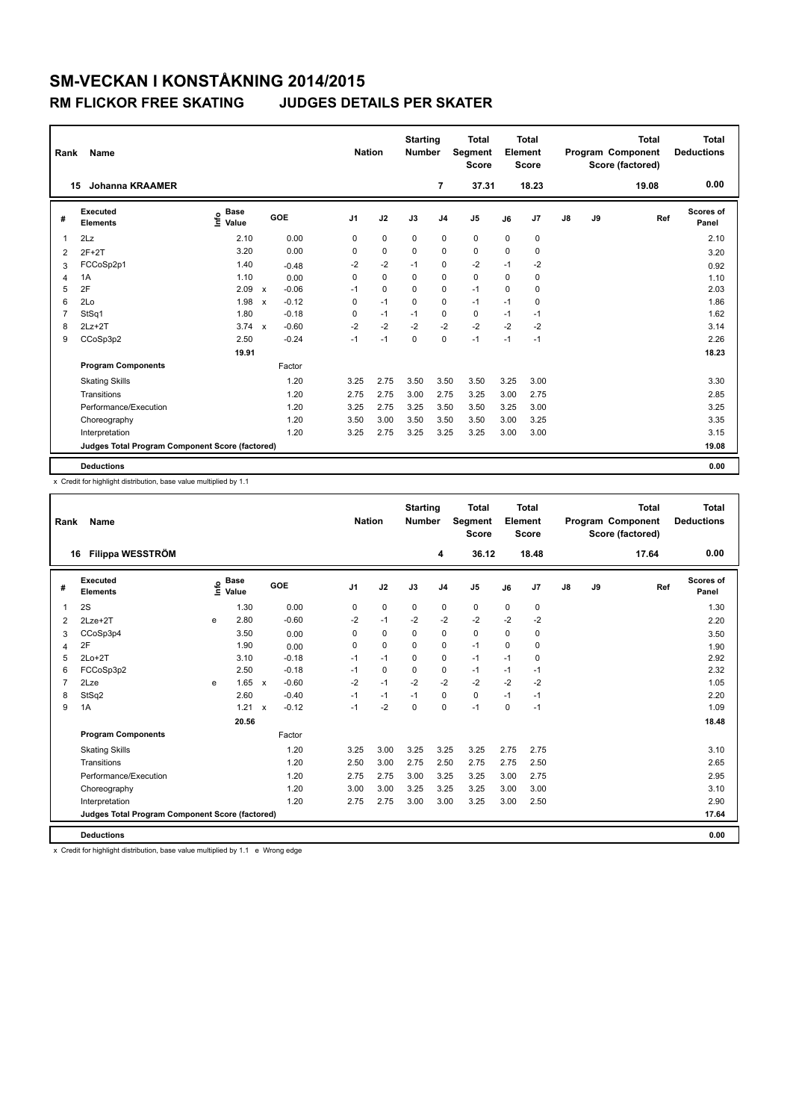| Rank           | Name                                            |                              | <b>Nation</b>             |         | <b>Starting</b><br><b>Number</b> | <b>Total</b><br><b>Segment</b><br><b>Score</b> |             | Total<br>Element<br><b>Score</b> |             |      | <b>Total</b><br>Program Component<br>Score (factored) | <b>Total</b><br><b>Deductions</b> |    |       |                    |
|----------------|-------------------------------------------------|------------------------------|---------------------------|---------|----------------------------------|------------------------------------------------|-------------|----------------------------------|-------------|------|-------------------------------------------------------|-----------------------------------|----|-------|--------------------|
| 15             | <b>Johanna KRAAMER</b>                          |                              |                           |         |                                  |                                                |             | 7                                | 37.31       |      | 18.23                                                 |                                   |    | 19.08 | 0.00               |
| #              | Executed<br><b>Elements</b>                     | <b>Base</b><br>lnfo<br>Value |                           | GOE     | J <sub>1</sub>                   | J2                                             | J3          | J <sub>4</sub>                   | J5          | J6   | J7                                                    | $\mathsf{J}8$                     | J9 | Ref   | Scores of<br>Panel |
| 1              | 2Lz                                             | 2.10                         |                           | 0.00    | 0                                | $\mathbf 0$                                    | $\mathbf 0$ | $\mathbf 0$                      | $\mathbf 0$ | 0    | 0                                                     |                                   |    |       | 2.10               |
| $\overline{2}$ | $2F+2T$                                         | 3.20                         |                           | 0.00    | 0                                | $\mathbf 0$                                    | 0           | $\mathbf 0$                      | $\mathbf 0$ | 0    | 0                                                     |                                   |    |       | 3.20               |
| 3              | FCCoSp2p1                                       | 1.40                         |                           | $-0.48$ | $-2$                             | $-2$                                           | $-1$        | $\mathbf 0$                      | $-2$        | $-1$ | $-2$                                                  |                                   |    |       | 0.92               |
| 4              | 1A                                              | 1.10                         |                           | 0.00    | 0                                | $\mathbf 0$                                    | $\mathbf 0$ | $\mathbf 0$                      | $\mathbf 0$ | 0    | 0                                                     |                                   |    |       | 1.10               |
| 5              | 2F                                              | 2.09                         | $\boldsymbol{\mathsf{x}}$ | $-0.06$ | $-1$                             | $\mathbf 0$                                    | $\Omega$    | $\mathbf 0$                      | $-1$        | 0    | 0                                                     |                                   |    |       | 2.03               |
| 6              | 2 <sub>0</sub>                                  | 1.98                         | $\mathbf{x}$              | $-0.12$ | 0                                | $-1$                                           | $\Omega$    | $\mathbf 0$                      | $-1$        | $-1$ | $\Omega$                                              |                                   |    |       | 1.86               |
| 7              | StSq1                                           | 1.80                         |                           | $-0.18$ | $\mathbf 0$                      | $-1$                                           | $-1$        | $\mathbf 0$                      | $\mathbf 0$ | $-1$ | $-1$                                                  |                                   |    |       | 1.62               |
| 8              | $2Lz+2T$                                        | $3.74 \times$                |                           | $-0.60$ | $-2$                             | $-2$                                           | $-2$        | $-2$                             | $-2$        | $-2$ | $-2$                                                  |                                   |    |       | 3.14               |
| 9              | CCoSp3p2                                        | 2.50                         |                           | $-0.24$ | $-1$                             | $-1$                                           | $\mathbf 0$ | $\mathbf 0$                      | $-1$        | $-1$ | $-1$                                                  |                                   |    |       | 2.26               |
|                |                                                 | 19.91                        |                           |         |                                  |                                                |             |                                  |             |      |                                                       |                                   |    |       | 18.23              |
|                | <b>Program Components</b>                       |                              |                           | Factor  |                                  |                                                |             |                                  |             |      |                                                       |                                   |    |       |                    |
|                | <b>Skating Skills</b>                           |                              |                           | 1.20    | 3.25                             | 2.75                                           | 3.50        | 3.50                             | 3.50        | 3.25 | 3.00                                                  |                                   |    |       | 3.30               |
|                | Transitions                                     |                              |                           | 1.20    | 2.75                             | 2.75                                           | 3.00        | 2.75                             | 3.25        | 3.00 | 2.75                                                  |                                   |    |       | 2.85               |
|                | Performance/Execution                           |                              |                           | 1.20    | 3.25                             | 2.75                                           | 3.25        | 3.50                             | 3.50        | 3.25 | 3.00                                                  |                                   |    |       | 3.25               |
|                | Choreography                                    |                              |                           | 1.20    | 3.50                             | 3.00                                           | 3.50        | 3.50                             | 3.50        | 3.00 | 3.25                                                  |                                   |    |       | 3.35               |
|                | Interpretation                                  |                              |                           | 1.20    | 3.25                             | 2.75                                           | 3.25        | 3.25                             | 3.25        | 3.00 | 3.00                                                  |                                   |    |       | 3.15               |
|                | Judges Total Program Component Score (factored) |                              |                           |         |                                  |                                                |             |                                  |             |      |                                                       |                                   |    |       | 19.08              |
|                | <b>Deductions</b>                               |                              |                           |         |                                  |                                                |             |                                  |             |      |                                                       |                                   |    |       | 0.00               |

x Credit for highlight distribution, base value multiplied by 1.1

| Rank           | Name                                            |      | <b>Nation</b>        |                           | <b>Starting</b><br><b>Number</b> | <b>Total</b><br>Segment<br><b>Score</b> |             | <b>Total</b><br>Element<br><b>Score</b> |                |             | <b>Total</b><br>Program Component<br>Score (factored) | <b>Total</b><br><b>Deductions</b> |               |    |       |                           |
|----------------|-------------------------------------------------|------|----------------------|---------------------------|----------------------------------|-----------------------------------------|-------------|-----------------------------------------|----------------|-------------|-------------------------------------------------------|-----------------------------------|---------------|----|-------|---------------------------|
| 16             | Filippa WESSTRÖM                                |      |                      |                           |                                  |                                         |             |                                         | 4              | 36.12       |                                                       | 18.48                             |               |    | 17.64 | 0.00                      |
| #              | <b>Executed</b><br><b>Elements</b>              | ١nfo | <b>Base</b><br>Value |                           | GOE                              | J <sub>1</sub>                          | J2          | J3                                      | J <sub>4</sub> | J5          | J6                                                    | J7                                | $\mathsf{J}8$ | J9 | Ref   | <b>Scores of</b><br>Panel |
| 1              | 2S                                              |      | 1.30                 |                           | 0.00                             | 0                                       | $\mathbf 0$ | $\mathbf 0$                             | 0              | $\mathbf 0$ | 0                                                     | $\mathbf 0$                       |               |    |       | 1.30                      |
| 2              | $2$ Lze $+2$ T                                  | e    | 2.80                 |                           | $-0.60$                          | $-2$                                    | $-1$        | $-2$                                    | $-2$           | $-2$        | $-2$                                                  | $-2$                              |               |    |       | 2.20                      |
| 3              | CCoSp3p4                                        |      | 3.50                 |                           | 0.00                             | 0                                       | $\mathbf 0$ | $\mathbf 0$                             | 0              | $\mathbf 0$ | 0                                                     | 0                                 |               |    |       | 3.50                      |
| 4              | 2F                                              |      | 1.90                 |                           | 0.00                             | $\Omega$                                | $\Omega$    | $\Omega$                                | 0              | $-1$        | 0                                                     | 0                                 |               |    |       | 1.90                      |
| 5              | $2Lo+2T$                                        |      | 3.10                 |                           | $-0.18$                          | $-1$                                    | $-1$        | $\Omega$                                | 0              | $-1$        | $-1$                                                  | $\Omega$                          |               |    |       | 2.92                      |
| 6              | FCCoSp3p2                                       |      | 2.50                 |                           | $-0.18$                          | $-1$                                    | $\mathbf 0$ | $\mathbf 0$                             | 0              | $-1$        | $-1$                                                  | $-1$                              |               |    |       | 2.32                      |
| $\overline{7}$ | 2Lze                                            | e    | 1.65                 | $\mathsf{x}$              | $-0.60$                          | $-2$                                    | $-1$        | $-2$                                    | $-2$           | $-2$        | $-2$                                                  | $-2$                              |               |    |       | 1.05                      |
| 8              | StSq2                                           |      | 2.60                 |                           | $-0.40$                          | $-1$                                    | $-1$        | $-1$                                    | 0              | $\mathbf 0$ | $-1$                                                  | $-1$                              |               |    |       | 2.20                      |
| 9              | 1A                                              |      | 1.21                 | $\boldsymbol{\mathsf{x}}$ | $-0.12$                          | $-1$                                    | $-2$        | $\mathbf 0$                             | $\mathbf 0$    | $-1$        | 0                                                     | $-1$                              |               |    |       | 1.09                      |
|                |                                                 |      | 20.56                |                           |                                  |                                         |             |                                         |                |             |                                                       |                                   |               |    |       | 18.48                     |
|                | <b>Program Components</b>                       |      |                      |                           | Factor                           |                                         |             |                                         |                |             |                                                       |                                   |               |    |       |                           |
|                | <b>Skating Skills</b>                           |      |                      |                           | 1.20                             | 3.25                                    | 3.00        | 3.25                                    | 3.25           | 3.25        | 2.75                                                  | 2.75                              |               |    |       | 3.10                      |
|                | Transitions                                     |      |                      |                           | 1.20                             | 2.50                                    | 3.00        | 2.75                                    | 2.50           | 2.75        | 2.75                                                  | 2.50                              |               |    |       | 2.65                      |
|                | Performance/Execution                           |      |                      |                           | 1.20                             | 2.75                                    | 2.75        | 3.00                                    | 3.25           | 3.25        | 3.00                                                  | 2.75                              |               |    |       | 2.95                      |
|                | Choreography                                    |      |                      |                           | 1.20                             | 3.00                                    | 3.00        | 3.25                                    | 3.25           | 3.25        | 3.00                                                  | 3.00                              |               |    |       | 3.10                      |
|                | Interpretation                                  |      |                      |                           | 1.20                             | 2.75                                    | 2.75        | 3.00                                    | 3.00           | 3.25        | 3.00                                                  | 2.50                              |               |    |       | 2.90                      |
|                | Judges Total Program Component Score (factored) |      |                      |                           |                                  |                                         |             |                                         |                |             |                                                       |                                   |               |    |       | 17.64                     |
|                | <b>Deductions</b>                               |      |                      |                           |                                  |                                         |             |                                         |                |             |                                                       |                                   |               |    |       | 0.00                      |

x Credit for highlight distribution, base value multiplied by 1.1 e Wrong edge